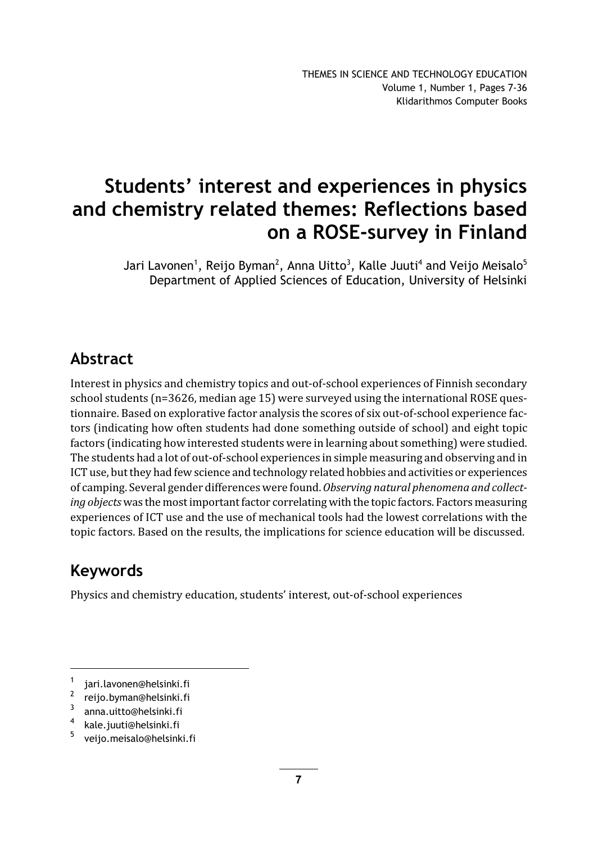# Students' interest and experiences in physics and chemistry related themes: Reflections based on a ROSE-survey in Finland

Jari Lavonen<sup>1</sup>, Reijo Byman<sup>2</sup>, Anna Uitto<sup>3</sup>, Kalle Juuti<sup>4</sup> and Veijo Meisalo<sup>5</sup> Department of Applied Sciences of Education, University of Helsinki

## Abstract

Interest in physics and chemistry topics and out-of-school experiences of Finnish secondary school students (n=3626, median age 15) were surveyed using the international ROSE questionnaire. Based on explorative factor analysis the scores of six out-of-school experience factors (indicating how often students had done something outside of school) and eight topic factors (indicating how interested students were in learning about something) were studied. The students had a lot of out-of-school experiences in simple measuring and observing and in ICT use, but they had few science and technology related hobbies and activities or experiences of camping. Several gender differences were found. Observing natural phenomena and collecting objects was the most important factor correlating with the topic factors. Factors measuring experiences of ICT use and the use of mechanical tools had the lowest correlations with the topic factors. Based on the results, the implications for science education will be discussed.

## Keywords

Physics and chemistry education, students' interest, out-of-school experiences

<sup>1</sup> jari.lavonen@helsinki.fi

<sup>2</sup> reijo.byman@helsinki.fi

<sup>3</sup> anna.uitto@helsinki.fi

<sup>4</sup> kale.juuti@helsinki.fi

<sup>5</sup> veijo.meisalo@helsinki.fi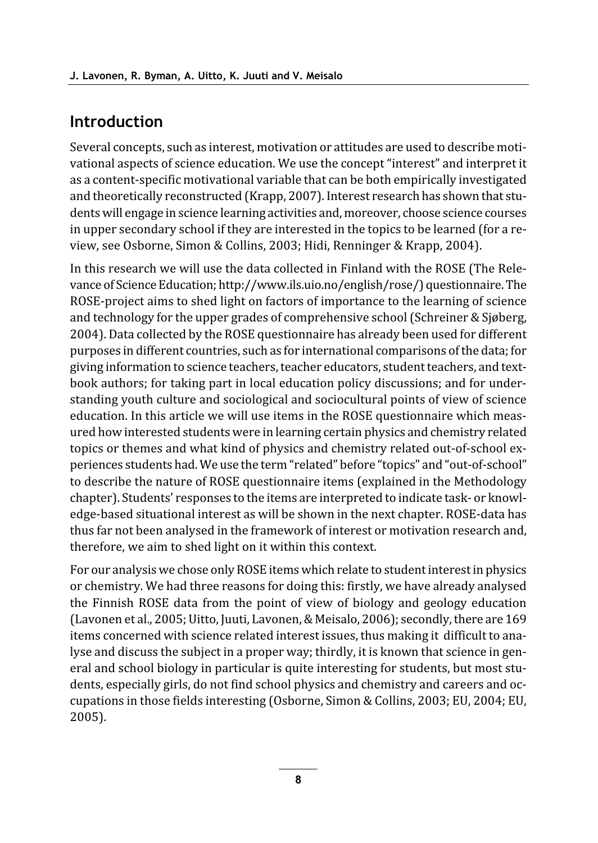## **Introduction**

Several concepts, such as interest, motivation or attitudes are used to describe motivational aspects of science education. We use the concept "interest" and interpret it as a content-specific motivational variable that can be both empirically investigated and theoretically reconstructed (Krapp, 2007). Interest research has shown that students will engage in science learning activities and, moreover, choose science courses in upper secondary school if they are interested in the topics to be learned (for a review, see Osborne, Simon & Collins, 2003; Hidi, Renninger & Krapp, 2004).

In this research we will use the data collected in Finland with the ROSE (The Relevance of Science Education; http://www.ils.uio.no/english/rose/) questionnaire. The ROSE-project aims to shed light on factors of importance to the learning of science and technology for the upper grades of comprehensive school (Schreiner & Sjøberg, 2004). Data collected by the ROSE questionnaire has already been used for different purposes in different countries, such as for international comparisons of the data; for giving information to science teachers, teacher educators, student teachers, and textbook authors; for taking part in local education policy discussions; and for understanding youth culture and sociological and sociocultural points of view of science education. In this article we will use items in the ROSE questionnaire which measured how interested students were in learning certain physics and chemistry related topics or themes and what kind of physics and chemistry related out-of-school experiences students had. We use the term "related" before "topics" and "out-of-school" to describe the nature of ROSE questionnaire items (explained in the Methodology chapter). Students' responses to the items are interpreted to indicate task- or knowledge-based situational interest as will be shown in the next chapter. ROSE-data has thus far not been analysed in the framework of interest or motivation research and, therefore, we aim to shed light on it within this context.

For our analysis we chose only ROSE items which relate to student interest in physics or chemistry. We had three reasons for doing this: firstly, we have already analysed the Finnish ROSE data from the point of view of biology and geology education (Lavonen et al., 2005; Uitto, Juuti, Lavonen, & Meisalo, 2006); secondly, there are 169 items concerned with science related interest issues, thus making it difficult to analyse and discuss the subject in a proper way; thirdly, it is known that science in general and school biology in particular is quite interesting for students, but most students, especially girls, do not find school physics and chemistry and careers and occupations in those fields interesting (Osborne, Simon & Collins, 2003; EU, 2004; EU, 2005).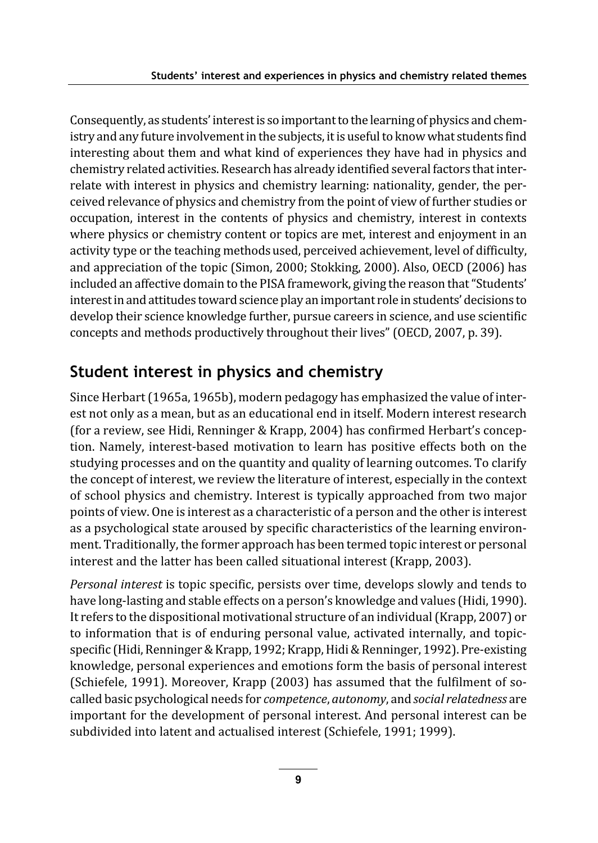Consequently, as students' interest is so important to the learning of physics and chemistry and any future involvement in the subjects, it is useful to know what students find interesting about them and what kind of experiences they have had in physics and chemistry related activities. Research has already identified several factors that interrelate with interest in physics and chemistry learning: nationality, gender, the perceived relevance of physics and chemistry from the point of view of further studies or occupation, interest in the contents of physics and chemistry, interest in contexts where physics or chemistry content or topics are met, interest and enjoyment in an activity type or the teaching methods used, perceived achievement, level of difficulty, and appreciation of the topic (Simon, 2000; Stokking, 2000). Also, OECD (2006) has included an affective domain to the PISA framework, giving the reason that "Students' interest in and attitudes toward science play an important role in students' decisions to develop their science knowledge further, pursue careers in science, and use scientific concepts and methods productively throughout their lives" (OECD, 2007, p. 39).

## Student interest in physics and chemistry

Since Herbart (1965a, 1965b), modern pedagogy has emphasized the value of interest not only as a mean, but as an educational end in itself. Modern interest research (for a review, see Hidi, Renninger & Krapp, 2004) has confirmed Herbart's conception. Namely, interest-based motivation to learn has positive effects both on the studying processes and on the quantity and quality of learning outcomes. To clarify the concept of interest, we review the literature of interest, especially in the context of school physics and chemistry. Interest is typically approached from two major points of view. One is interest as a characteristic of a person and the other is interest as a psychological state aroused by specific characteristics of the learning environment. Traditionally, the former approach has been termed topic interest or personal interest and the latter has been called situational interest (Krapp, 2003).

Personal interest is topic specific, persists over time, develops slowly and tends to have long-lasting and stable effects on a person's knowledge and values (Hidi, 1990). It refers to the dispositional motivational structure of an individual (Krapp, 2007) or to information that is of enduring personal value, activated internally, and topicspecific (Hidi, Renninger & Krapp, 1992; Krapp, Hidi & Renninger, 1992). Pre-existing knowledge, personal experiences and emotions form the basis of personal interest (Schiefele, 1991). Moreover, Krapp (2003) has assumed that the fulfilment of socalled basic psychological needs for *competence*, *autonomy*, and *social relatedness* are important for the development of personal interest. And personal interest can be subdivided into latent and actualised interest (Schiefele, 1991; 1999).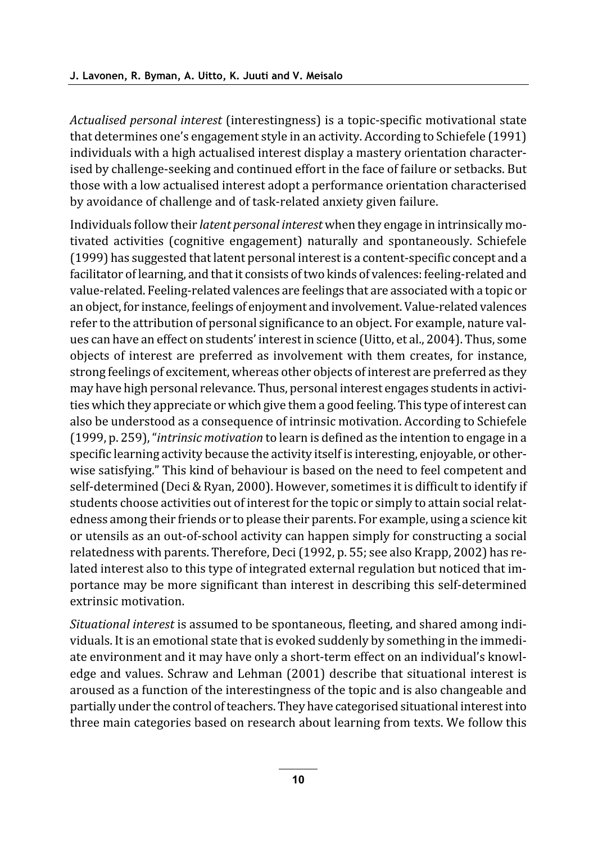Actualised personal interest (interestingness) is a topic-specific motivational state that determines one's engagement style in an activity. According to Schiefele (1991) individuals with a high actualised interest display a mastery orientation characterised by challenge-seeking and continued effort in the face of failure or setbacks. But those with a low actualised interest adopt a performance orientation characterised by avoidance of challenge and of task-related anxiety given failure.

Individuals follow their *latent personal interest* when they engage in intrinsically motivated activities (cognitive engagement) naturally and spontaneously. Schiefele (1999) has suggested that latent personal interest is a content-specific concept and a facilitator of learning, and that it consists of two kinds of valences: feeling-related and value-related. Feeling-related valences are feelings that are associated with a topic or an object, for instance, feelings of enjoyment and involvement. Value-related valences refer to the attribution of personal significance to an object. For example, nature values can have an effect on students' interest in science (Uitto, et al., 2004). Thus, some objects of interest are preferred as involvement with them creates, for instance, strong feelings of excitement, whereas other objects of interest are preferred as they may have high personal relevance. Thus, personal interest engages students in activities which they appreciate or which give them a good feeling. This type of interest can also be understood as a consequence of intrinsic motivation. According to Schiefele  $(1999, p. 259)$ , "*intrinsic motivation* to learn is defined as the intention to engage in a specific learning activity because the activity itself is interesting, enjoyable, or otherwise satisfying." This kind of behaviour is based on the need to feel competent and self-determined (Deci & Ryan, 2000). However, sometimes it is difficult to identify if students choose activities out of interest for the topic or simply to attain social relatedness among their friends or to please their parents. For example, using a science kit or utensils as an out-of-school activity can happen simply for constructing a social relatedness with parents. Therefore, Deci (1992, p. 55; see also Krapp, 2002) has related interest also to this type of integrated external regulation but noticed that importance may be more significant than interest in describing this self-determined extrinsic motivation.

Situational interest is assumed to be spontaneous, fleeting, and shared among individuals. It is an emotional state that is evoked suddenly by something in the immediate environment and it may have only a short-term effect on an individual's knowledge and values. Schraw and Lehman (2001) describe that situational interest is aroused as a function of the interestingness of the topic and is also changeable and partially under the control of teachers. They have categorised situational interest into three main categories based on research about learning from texts. We follow this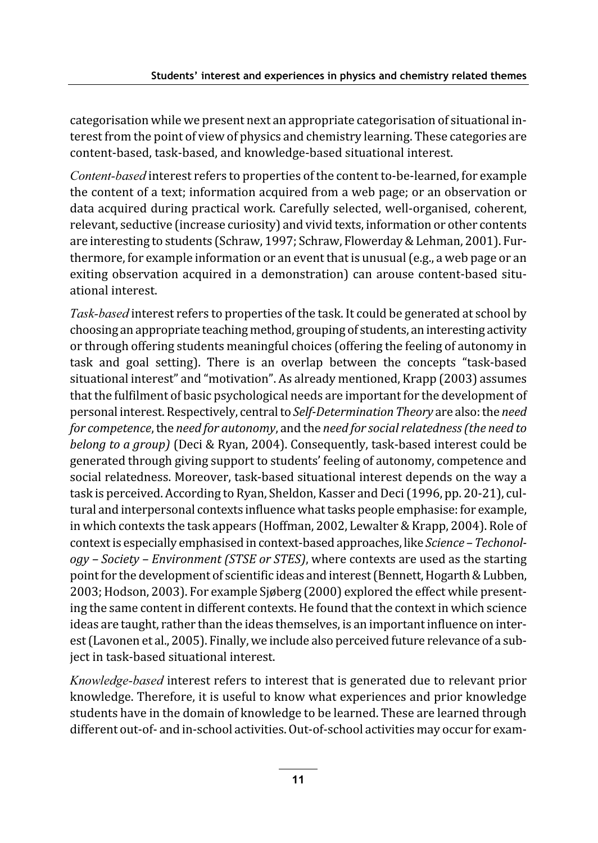categorisation while we present next an appropriate categorisation of situational interest from the point of view of physics and chemistry learning. These categories are content-based, task-based, and knowledge-based situational interest.

Content-based interest refers to properties of the content to-be-learned, for example the content of a text; information acquired from a web page; or an observation or data acquired during practical work. Carefully selected, well-organised, coherent, relevant, seductive (increase curiosity) and vivid texts, information or other contents are interesting to students (Schraw, 1997; Schraw, Flowerday & Lehman, 2001). Furthermore, for example information or an event that is unusual (e.g., a web page or an exiting observation acquired in a demonstration) can arouse content-based situational interest.

Task-based interest refers to properties of the task. It could be generated at school by choosing an appropriate teaching method, grouping of students, an interesting activity or through offering students meaningful choices (offering the feeling of autonomy in task and goal setting). There is an overlap between the concepts "task-based situational interest" and "motivation". As already mentioned, Krapp (2003) assumes that the fulfilment of basic psychological needs are important for the development of personal interest. Respectively, central to Self-Determination Theory are also: the need for competence, the need for autonomy, and the need for social relatedness (the need to belong to a group) (Deci & Ryan, 2004). Consequently, task-based interest could be generated through giving support to students' feeling of autonomy, competence and social relatedness. Moreover, task-based situational interest depends on the way a task is perceived. According to Ryan, Sheldon, Kasser and Deci (1996, pp. 20-21), cultural and interpersonal contexts influence what tasks people emphasise: for example, in which contexts the task appears (Hoffman, 2002, Lewalter & Krapp, 2004). Role of context is especially emphasised in context-based approaches, like Science - Techonol $ogy - Society - Environment (STSE or STES)$ , where contexts are used as the starting point for the development of scientific ideas and interest (Bennett, Hogarth & Lubben, 2003; Hodson, 2003). For example Sjøberg (2000) explored the effect while presenting the same content in different contexts. He found that the context in which science ideas are taught, rather than the ideas themselves, is an important influence on interest (Lavonen et al., 2005). Finally, we include also perceived future relevance of a subject in task-based situational interest.

Knowledge-based interest refers to interest that is generated due to relevant prior knowledge. Therefore, it is useful to know what experiences and prior knowledge students have in the domain of knowledge to be learned. These are learned through different out-of- and in-school activities. Out-of-school activities may occur for exam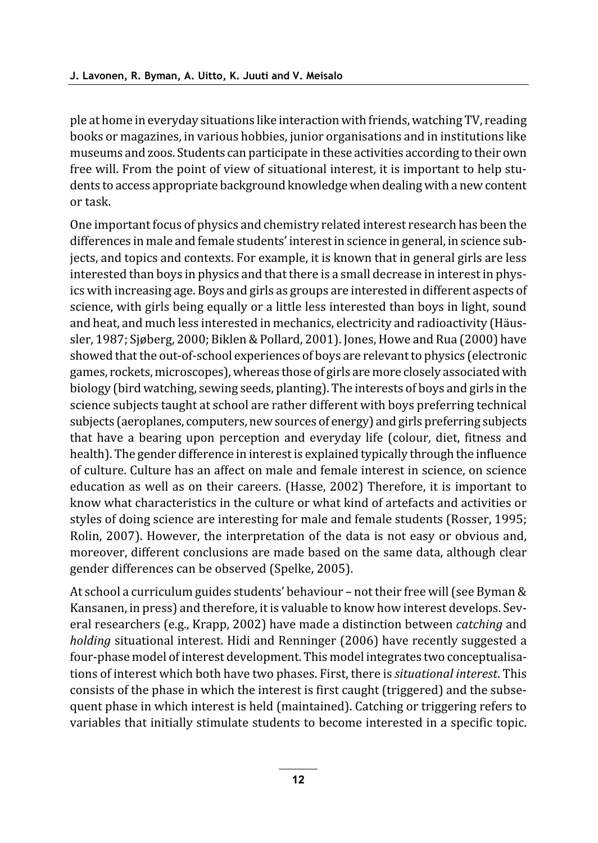ple at home in everyday situations like interaction with friends, watching TV, reading books or magazines, in various hobbies, junior organisations and in institutions like museums and zoos. Students can participate in these activities according to their own free will. From the point of view of situational interest, it is important to help students to access appropriate background knowledge when dealing with a new content or task.

One important focus of physics and chemistry related interest research has been the differences in male and female students' interest in science in general, in science subjects, and topics and contexts. For example, it is known that in general girls are less interested than boys in physics and that there is a small decrease in interest in physics with increasing age. Boys and girls as groups are interested in different aspects of science, with girls being equally or a little less interested than boys in light, sound and heat, and much less interested in mechanics, electricity and radioactivity (Häussler, 1987; Sjøberg, 2000; Biklen & Pollard, 2001). Jones, Howe and Rua (2000) have showed that the out-of-school experiences of boys are relevant to physics (electronic games, rockets, microscopes), whereas those of girls are more closely associated with biology (bird watching, sewing seeds, planting). The interests of boys and girls in the science subjects taught at school are rather different with boys preferring technical subjects (aeroplanes, computers, new sources of energy) and girls preferring subjects that have a bearing upon perception and everyday life (colour, diet, fitness and health). The gender difference in interest is explained typically through the influence of culture. Culture has an affect on male and female interest in science, on science education as well as on their careers. (Hasse, 2002) Therefore, it is important to know what characteristics in the culture or what kind of artefacts and activities or styles of doing science are interesting for male and female students (Rosser, 1995; Rolin, 2007). However, the interpretation of the data is not easy or obvious and, moreover, different conclusions are made based on the same data, although clear gender differences can be observed (Spelke, 2005).

At school a curriculum guides students' behaviour - not their free will (see Byman & Kansanen, in press) and therefore, it is valuable to know how interest develops. Several researchers (e.g., Krapp, 2002) have made a distinction between *catching* and holding situational interest. Hidi and Renninger (2006) have recently suggested a four-phase model of interest development. This model integrates two conceptualisations of interest which both have two phases. First, there is *situational interest*. This consists of the phase in which the interest is first caught (triggered) and the subsequent phase in which interest is held (maintained). Catching or triggering refers to variables that initially stimulate students to become interested in a specific topic.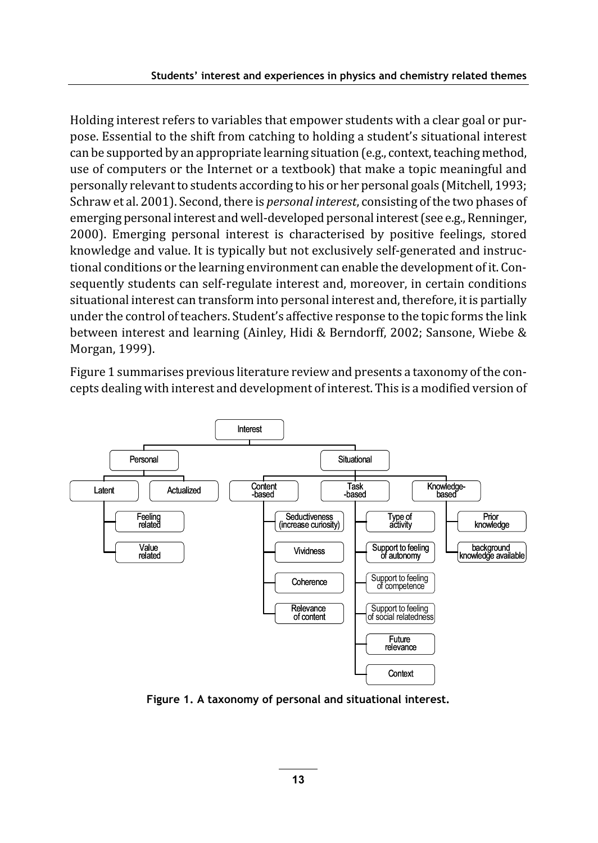Holding interest refers to variables that empower students with a clear goal or purpose. Essential to the shift from catching to holding a student's situational interest can be supported by an appropriate learning situation (e.g., context, teaching method, use of computers or the Internet or a textbook) that make a topic meaningful and personally relevant to students according to his or her personal goals (Mitchell, 1993; Schraw et al. 2001). Second, there is *personal interest*, consisting of the two phases of emerging personal interest and well-developed personal interest (see e.g., Renninger, 2000). Emerging personal interest is characterised by positive feelings, stored knowledge and value. It is typically but not exclusively self-generated and instructional conditions or the learning environment can enable the development of it. Consequently students can self-regulate interest and, moreover, in certain conditions situational interest can transform into personal interest and, therefore, it is partially under the control of teachers. Student's affective response to the topic forms the link between interest and learning (Ainley, Hidi & Berndorff, 2002; Sansone, Wiebe & Morgan, 1999).

Figure 1 summarises previous literature review and presents a taxonomy of the concepts dealing with interest and development of interest. This is a modified version of



Figure 1. A taxonomy of personal and situational interest.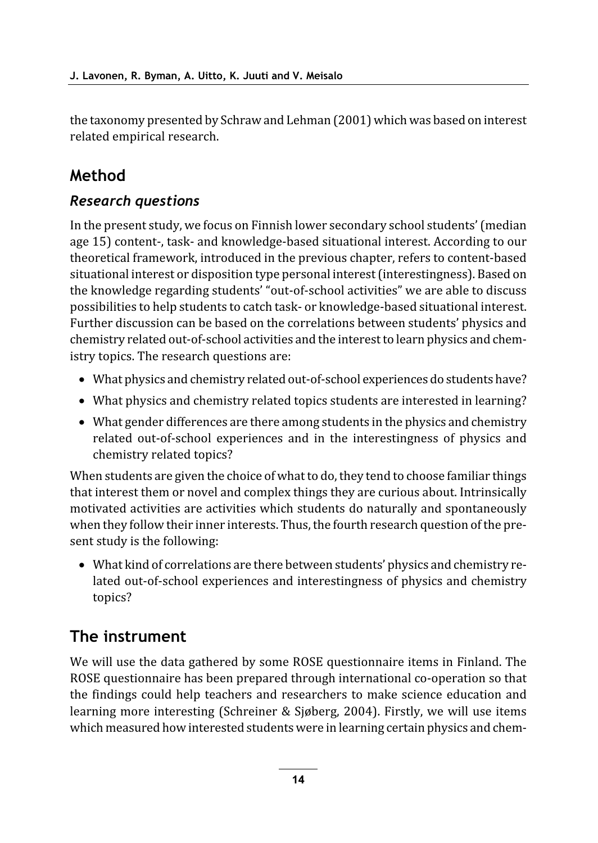the taxonomy presented by Schraw and Lehman (2001) which was based on interest related empirical research.

## Method

### **Research questions**

In the present study, we focus on Finnish lower secondary school students' (median age 15) content-, task- and knowledge-based situational interest. According to our theoretical framework, introduced in the previous chapter, refers to content-based situational interest or disposition type personal interest (interestingness). Based on the knowledge regarding students' "out-of-school activities" we are able to discuss possibilities to help students to catch task- or knowledge-based situational interest. Further discussion can be based on the correlations between students' physics and chemistry related out-of-school activities and the interest to learn physics and chemistry topics. The research questions are:

- What physics and chemistry related out-of-school experiences do students have?
- What physics and chemistry related topics students are interested in learning?
- What gender differences are there among students in the physics and chemistry related out-of-school experiences and in the interestingness of physics and chemistry related topics?

When students are given the choice of what to do, they tend to choose familiar things that interest them or novel and complex things they are curious about. Intrinsically motivated activities are activities which students do naturally and spontaneously when they follow their inner interests. Thus, the fourth research question of the present study is the following:

• What kind of correlations are there between students' physics and chemistry related out-of-school experiences and interestingness of physics and chemistry topics?

## The instrument

We will use the data gathered by some ROSE questionnaire items in Finland. The ROSE questionnaire has been prepared through international co-operation so that the findings could help teachers and researchers to make science education and learning more interesting (Schreiner & Sjøberg, 2004). Firstly, we will use items which measured how interested students were in learning certain physics and chem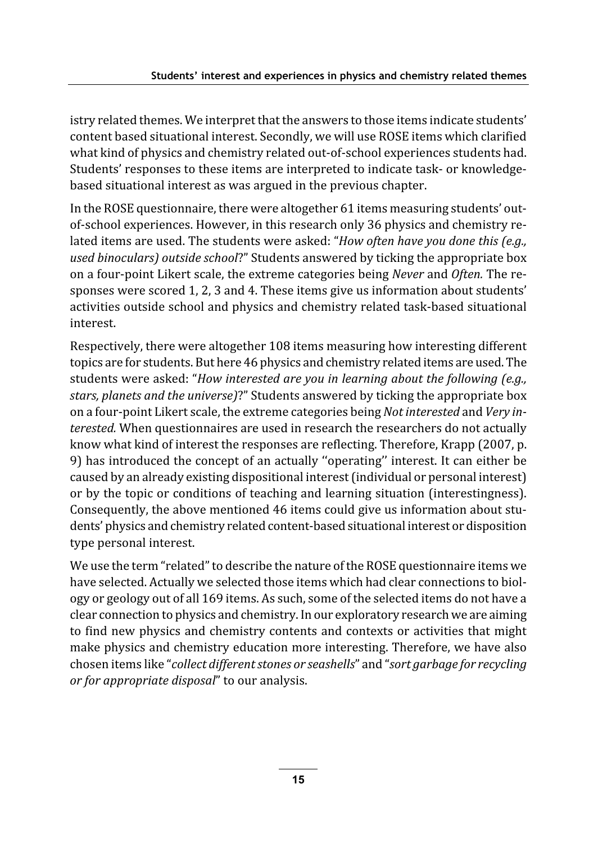istry related themes. We interpret that the answers to those items indicate students' content based situational interest. Secondly, we will use ROSE items which clarified what kind of physics and chemistry related out-of-school experiences students had. Students' responses to these items are interpreted to indicate task- or knowledgebased situational interest as was argued in the previous chapter.

In the ROSE questionnaire, there were altogether 61 items measuring students' outof-school experiences. However, in this research only 36 physics and chemistry related items are used. The students were asked: "How often have you done this (e.g., used binoculars) outside school?" Students answered by ticking the appropriate box on a four-point Likert scale, the extreme categories being Never and Often. The responses were scored 1, 2, 3 and 4. These items give us information about students' activities outside school and physics and chemistry related task-based situational interest.

Respectively, there were altogether 108 items measuring how interesting different topics are for students. But here 46 physics and chemistry related items are used. The students were asked: "How interested are you in learning about the following (e.g., stars, planets and the universe)?" Students answered by ticking the appropriate box on a four-point Likert scale, the extreme categories being *Not interested* and *Very in*terested. When questionnaires are used in research the researchers do not actually know what kind of interest the responses are reflecting. Therefore, Krapp (2007, p. 9) has introduced the concept of an actually "operating" interest. It can either be caused by an already existing dispositional interest (individual or personal interest) or by the topic or conditions of teaching and learning situation (interestingness). Consequently, the above mentioned 46 items could give us information about students' physics and chemistry related content-based situational interest or disposition type personal interest.

We use the term "related" to describe the nature of the ROSE questionnaire items we have selected. Actually we selected those items which had clear connections to biology or geology out of all 169 items. As such, some of the selected items do not have a clear connection to physics and chemistry. In our exploratory research we are aiming to find new physics and chemistry contents and contexts or activities that might make physics and chemistry education more interesting. Therefore, we have also chosen items like "collect different stones or seashells" and "sort garbage for recycling or for appropriate disposal" to our analysis.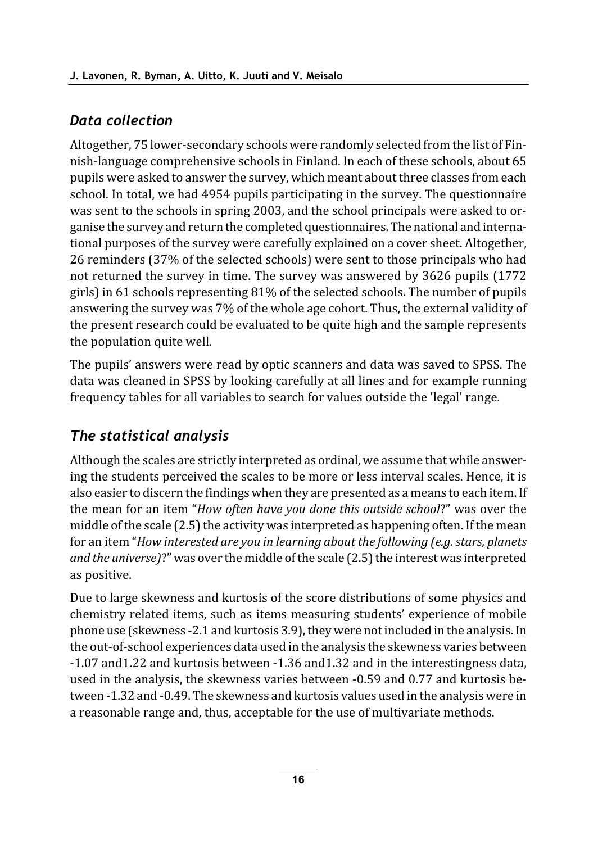### Data collection

Altogether, 75 lower-secondary schools were randomly selected from the list of Finnish-language comprehensive schools in Finland. In each of these schools, about 65 pupils were asked to answer the survey, which meant about three classes from each school. In total, we had 4954 pupils participating in the survey. The questionnaire was sent to the schools in spring 2003, and the school principals were asked to organise the survey and return the completed questionnaires. The national and international purposes of the survey were carefully explained on a cover sheet. Altogether, 26 reminders (37% of the selected schools) were sent to those principals who had not returned the survey in time. The survey was answered by 3626 pupils (1772) girls) in 61 schools representing 81% of the selected schools. The number of pupils answering the survey was 7% of the whole age cohort. Thus, the external validity of the present research could be evaluated to be quite high and the sample represents the population quite well.

The pupils' answers were read by optic scanners and data was saved to SPSS. The data was cleaned in SPSS by looking carefully at all lines and for example running frequency tables for all variables to search for values outside the 'legal' range.

### The statistical analysis

Although the scales are strictly interpreted as ordinal, we assume that while answering the students perceived the scales to be more or less interval scales. Hence, it is also easier to discern the findings when they are presented as a means to each item. If the mean for an item "How often have you done this outside school?" was over the middle of the scale (2.5) the activity was interpreted as happening often. If the mean for an item "How interested are you in learning about the following (e.g. stars, planets and the universe)?" was over the middle of the scale (2.5) the interest was interpreted as positive.

Due to large skewness and kurtosis of the score distributions of some physics and chemistry related items, such as items measuring students' experience of mobile phone use (skewness -2.1 and kurtosis 3.9), they were not included in the analysis. In the out-of-school experiences data used in the analysis the skewness varies between -1.07 and 1.22 and kurtosis between -1.36 and 1.32 and in the interestingness data, used in the analysis, the skewness varies between -0.59 and 0.77 and kurtosis between -1.32 and -0.49. The skewness and kurtosis values used in the analysis were in a reasonable range and, thus, acceptable for the use of multivariate methods.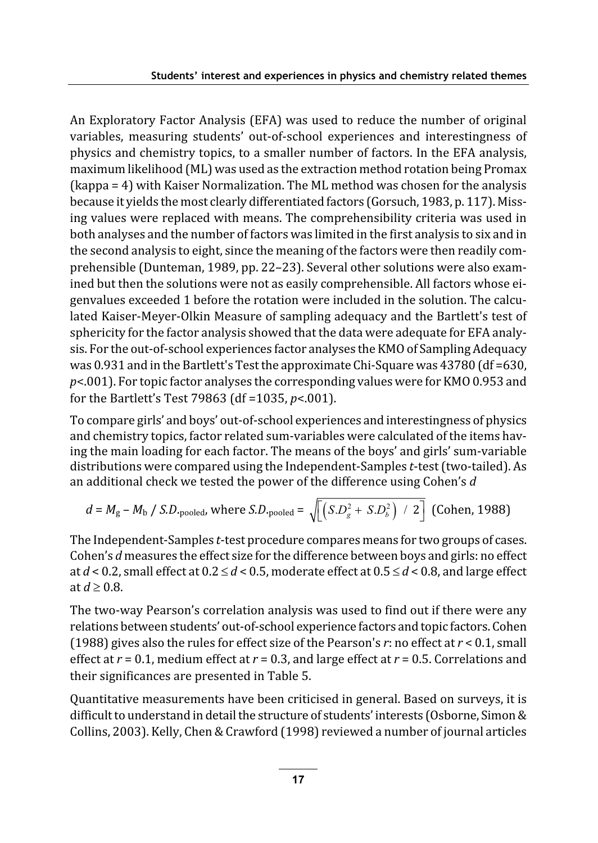An Exploratory Factor Analysis (EFA) was used to reduce the number of original variables, measuring students' out-of-school experiences and interestingness of physics and chemistry topics, to a smaller number of factors. In the EFA analysis, maximum likelihood (ML) was used as the extraction method rotation being Promax (kappa = 4) with Kaiser Normalization. The ML method was chosen for the analysis because it yields the most clearly differentiated factors (Gorsuch, 1983, p. 117). Missing values were replaced with means. The comprehensibility criteria was used in both analyses and the number of factors was limited in the first analysis to six and in the second analysis to eight, since the meaning of the factors were then readily comprehensible (Dunteman, 1989, pp. 22-23). Several other solutions were also examined but then the solutions were not as easily comprehensible. All factors whose eigenvalues exceeded 1 before the rotation were included in the solution. The calculated Kaiser-Meyer-Olkin Measure of sampling adequacy and the Bartlett's test of sphericity for the factor analysis showed that the data were adequate for EFA analysis. For the out-of-school experiences factor analyses the KMO of Sampling Adequacy was 0.931 and in the Bartlett's Test the approximate Chi-Square was 43780 (df = 630,  $p<.001$ ). For topic factor analyses the corresponding values were for KMO 0.953 and for the Bartlett's Test 79863 (df = 1035,  $p$ <.001).

To compare girls' and boys' out-of-school experiences and interestingness of physics and chemistry topics, factor related sum-variables were calculated of the items haying the main loading for each factor. The means of the boys' and girls' sum-variable distributions were compared using the Independent-Samples t-test (two-tailed). As an additional check we tested the power of the difference using Cohen's  $d$ 

$$
d = M_{\rm g} - M_{\rm b} / S.D.\text{pooled, where } S.D.\text{pooled} = \sqrt{\left[\left(S.D_{\rm g}^2 + S.D_{\rm b}^2\right) / 2\right]}\text{ (Cohen, 1988)}
$$

The Independent-Samples t-test procedure compares means for two groups of cases. Cohen's *d* measures the effect size for the difference between boys and girls: no effect at  $d < 0.2$ , small effect at  $0.2 \le d < 0.5$ , moderate effect at  $0.5 \le d < 0.8$ , and large effect at  $d \geq 0.8$ .

The two-way Pearson's correlation analysis was used to find out if there were any relations between students' out-of-school experience factors and topic factors. Cohen (1988) gives also the rules for effect size of the Pearson's r: no effect at  $r < 0.1$ , small effect at  $r = 0.1$ , medium effect at  $r = 0.3$ , and large effect at  $r = 0.5$ . Correlations and their significances are presented in Table 5.

Quantitative measurements have been criticised in general. Based on surveys, it is difficult to understand in detail the structure of students' interests (Osborne, Simon & Collins, 2003). Kelly, Chen & Crawford (1998) reviewed a number of journal articles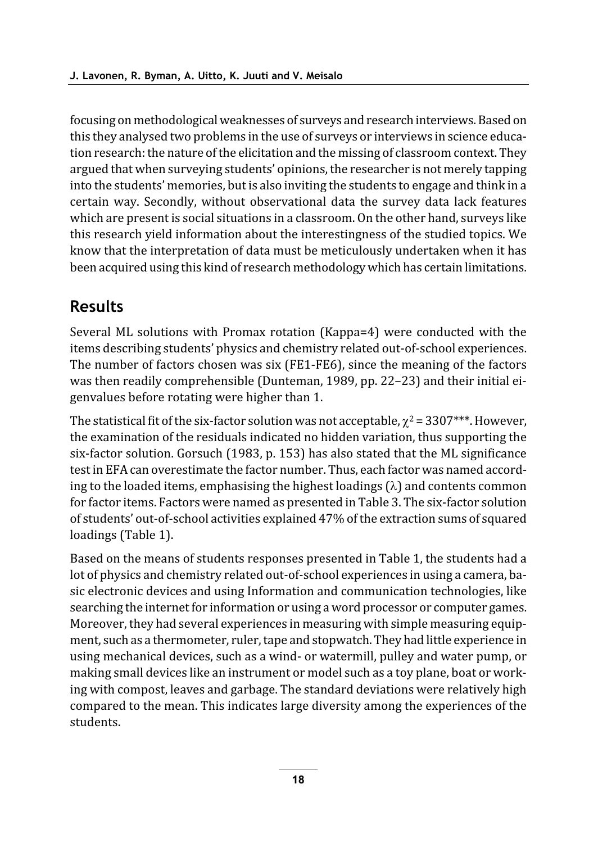focusing on methodological weaknesses of surveys and research interviews. Based on this they analysed two problems in the use of surveys or interviews in science education research: the nature of the elicitation and the missing of classroom context. They argued that when surveying students' opinions, the researcher is not merely tapping into the students' memories, but is also inviting the students to engage and think in a certain way. Secondly, without observational data the survey data lack features which are present is social situations in a classroom. On the other hand, surveys like this research yield information about the interestingness of the studied topics. We know that the interpretation of data must be meticulously undertaken when it has been acquired using this kind of research methodology which has certain limitations.

## **Results**

Several ML solutions with Promax rotation (Kappa=4) were conducted with the items describing students' physics and chemistry related out-of-school experiences. The number of factors chosen was six (FE1-FE6), since the meaning of the factors was then readily comprehensible (Dunteman, 1989, pp. 22-23) and their initial eigenvalues before rotating were higher than 1.

The statistical fit of the six-factor solution was not acceptable,  $\gamma^2 = 3307$ \*\*\*. However, the examination of the residuals indicated no hidden variation, thus supporting the six-factor solution. Gorsuch (1983, p. 153) has also stated that the ML significance test in EFA can overestimate the factor number. Thus, each factor was named according to the loaded items, emphasising the highest loadings  $(\lambda)$  and contents common for factor items. Factors were named as presented in Table 3. The six-factor solution of students' out-of-school activities explained 47% of the extraction sums of squared loadings (Table 1).

Based on the means of students responses presented in Table 1, the students had a lot of physics and chemistry related out-of-school experiences in using a camera, basic electronic devices and using Information and communication technologies, like searching the internet for information or using a word processor or computer games. Moreover, they had several experiences in measuring with simple measuring equipment, such as a thermometer, ruler, tape and stopwatch. They had little experience in using mechanical devices, such as a wind- or watermill, pulley and water pump, or making small devices like an instrument or model such as a toy plane, boat or working with compost, leaves and garbage. The standard deviations were relatively high compared to the mean. This indicates large diversity among the experiences of the students.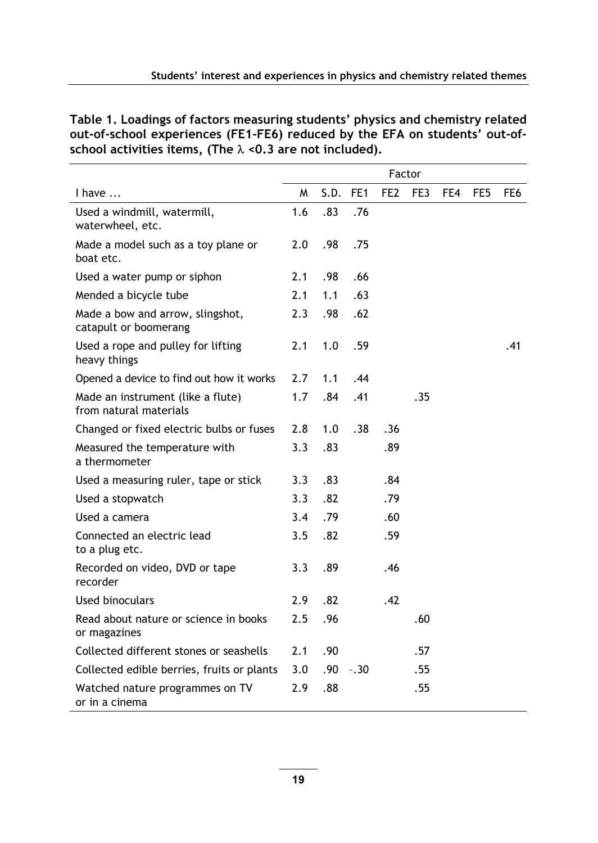Table 1. Loadings of factors measuring students' physics and chemistry related out-of-school experiences (FE1-FE6) reduced by the EFA on students' out-ofschool activities items, (The  $\lambda$  <0.3 are not included).

|                                                             | Factor |      |        |                 |     |     |                 |      |
|-------------------------------------------------------------|--------|------|--------|-----------------|-----|-----|-----------------|------|
| I have                                                      | M      | S.D. | FE1    | FE <sub>2</sub> | FE3 | FE4 | FE <sub>5</sub> | FE6. |
| Used a windmill, watermill,<br>waterwheel, etc.             | 1.6    | .83  | .76    |                 |     |     |                 |      |
| Made a model such as a toy plane or<br>hoat etc.            | 2.0    | .98  | .75    |                 |     |     |                 |      |
| Used a water pump or siphon                                 | 2.1    | .98  | .66    |                 |     |     |                 |      |
| Mended a bicycle tube                                       | 2.1    | 1.1  | .63    |                 |     |     |                 |      |
| Made a bow and arrow, slingshot,<br>catapult or boomerang   | 2.3    | .98  | .62    |                 |     |     |                 |      |
| Used a rope and pulley for lifting<br>heavy things          | 2.1    | 1.0  | .59    |                 |     |     |                 | .41  |
| Opened a device to find out how it works                    | 2.7    | 1.1  | .44    |                 |     |     |                 |      |
| Made an instrument (like a flute)<br>from natural materials | 1.7    | .84  | .41    |                 | .35 |     |                 |      |
| Changed or fixed electric bulbs or fuses                    | 2.8    | 1.0  | .38    | .36             |     |     |                 |      |
| Measured the temperature with<br>a thermometer              | 3.3    | .83  |        | .89             |     |     |                 |      |
| Used a measuring ruler, tape or stick                       | 3.3    | .83  |        | .84             |     |     |                 |      |
| Used a stopwatch                                            | 3.3    | .82  |        | .79             |     |     |                 |      |
| Used a camera                                               | 3.4    | .79  |        | .60             |     |     |                 |      |
| Connected an electric lead<br>to a plug etc.                | 3.5    | .82  |        | .59             |     |     |                 |      |
| Recorded on video, DVD or tape<br>recorder                  | 3.3    | .89  |        | .46             |     |     |                 |      |
| Used binoculars                                             | 2.9    | .82  |        | .42             |     |     |                 |      |
| Read about nature or science in books<br>or magazines       | 2.5    | .96  |        |                 | .60 |     |                 |      |
| Collected different stones or seashells                     | 2.1    | .90  |        |                 | .57 |     |                 |      |
| Collected edible berries, fruits or plants                  | 3.0    | .90  | $-.30$ |                 | .55 |     |                 |      |
| Watched nature programmes on TV<br>or in a cinema           | 2.9    | .88  |        |                 | .55 |     |                 |      |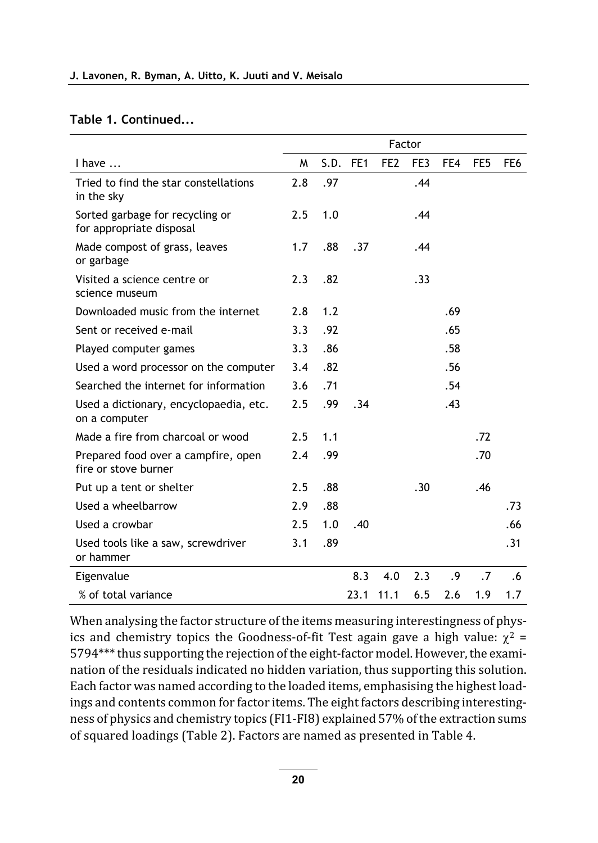#### Table 1. Continued...

|                                                             | Factor |     |          |                 |     |     |                 |                 |
|-------------------------------------------------------------|--------|-----|----------|-----------------|-----|-----|-----------------|-----------------|
| I have $\dots$                                              | M      |     | S.D. FE1 | FE <sub>2</sub> | FE3 | FE4 | FE <sub>5</sub> | FE <sub>6</sub> |
| Tried to find the star constellations<br>in the sky         | 2.8    | .97 |          |                 | .44 |     |                 |                 |
| Sorted garbage for recycling or<br>for appropriate disposal | 2.5    | 1.0 |          |                 | .44 |     |                 |                 |
| Made compost of grass, leaves<br>or garbage                 | 1.7    | .88 | .37      |                 | .44 |     |                 |                 |
| Visited a science centre or<br>science museum               | 2.3    | .82 |          |                 | .33 |     |                 |                 |
| Downloaded music from the internet                          | 2.8    | 1.2 |          |                 |     | .69 |                 |                 |
| Sent or received e-mail                                     | 3.3    | .92 |          |                 |     | .65 |                 |                 |
| Played computer games                                       | 3.3    | .86 |          |                 |     | .58 |                 |                 |
| Used a word processor on the computer                       | 3.4    | .82 |          |                 |     | .56 |                 |                 |
| Searched the internet for information                       | 3.6    | .71 |          |                 |     | .54 |                 |                 |
| Used a dictionary, encyclopaedia, etc.<br>on a computer     | 2.5    | .99 | .34      |                 |     | .43 |                 |                 |
| Made a fire from charcoal or wood                           | 2.5    | 1.1 |          |                 |     |     | .72             |                 |
| Prepared food over a campfire, open<br>fire or stove burner | 2.4    | .99 |          |                 |     |     | .70             |                 |
| Put up a tent or shelter                                    | 2.5    | .88 |          |                 | .30 |     | .46             |                 |
| Used a wheelbarrow                                          | 2.9    | .88 |          |                 |     |     |                 | .73             |
| Used a crowbar                                              | 2.5    | 1.0 | .40      |                 |     |     |                 | .66             |
| Used tools like a saw, screwdriver<br>or hammer             | 3.1    | .89 |          |                 |     |     |                 | .31             |
| Eigenvalue                                                  |        |     | 8.3      | 4.0             | 2.3 | .9  | $\cdot$ .7      | .6              |
| % of total variance                                         |        |     | 23.1     | 11.1            | 6.5 | 2.6 | 1.9             | 1.7             |

When analysing the factor structure of the items measuring interestingness of physics and chemistry topics the Goodness-of-fit Test again gave a high value:  $\chi^2$  = 5794\*\*\* thus supporting the rejection of the eight-factor model. However, the examination of the residuals indicated no hidden variation, thus supporting this solution. Each factor was named according to the loaded items, emphasising the highest loadings and contents common for factor items. The eight factors describing interestingness of physics and chemistry topics (FI1-FI8) explained 57% of the extraction sums of squared loadings (Table 2). Factors are named as presented in Table 4.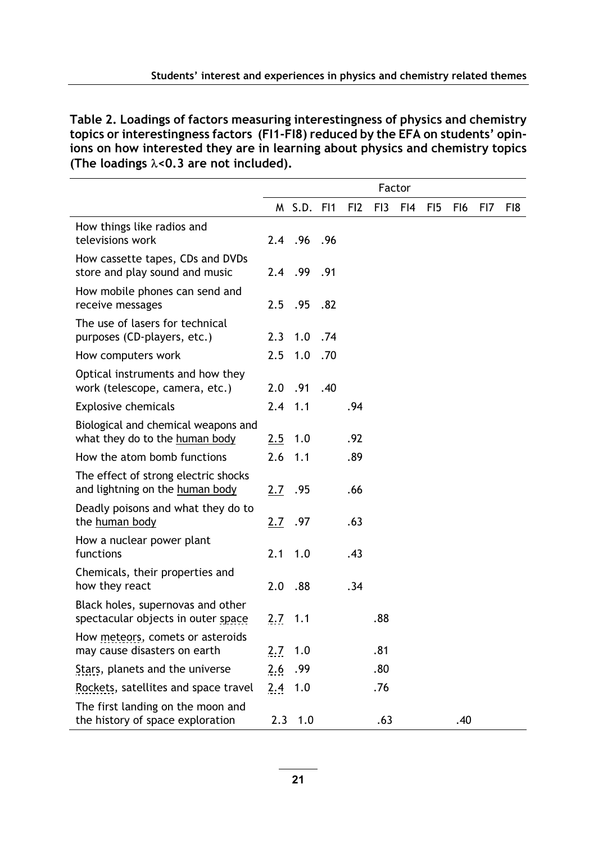Table 2. Loadings of factors measuring interestingness of physics and chemistry topics or interestingness factors (FI1-FI8) reduced by the EFA on students' opinions on how interested they are in learning about physics and chemistry topics (The loadings  $\lambda$ <0.3 are not included).

|                                                                         | Factor |             |     |     |                 |     |                 |                 |     |     |
|-------------------------------------------------------------------------|--------|-------------|-----|-----|-----------------|-----|-----------------|-----------------|-----|-----|
|                                                                         |        | M S.D. FI1  |     | FI2 | F <sub>13</sub> | FI4 | F <sub>15</sub> | F <sub>16</sub> | FI7 | FI8 |
| How things like radios and<br>televisions work                          |        | 2.4 .96 .96 |     |     |                 |     |                 |                 |     |     |
| How cassette tapes, CDs and DVDs<br>store and play sound and music      |        | 2.4 .99     | .91 |     |                 |     |                 |                 |     |     |
| How mobile phones can send and<br>receive messages                      | 2.5    | .95         | .82 |     |                 |     |                 |                 |     |     |
| The use of lasers for technical<br>purposes (CD-players, etc.)          | 2.3    | 1.0         | .74 |     |                 |     |                 |                 |     |     |
| How computers work                                                      | 2.5    | 1.0         | .70 |     |                 |     |                 |                 |     |     |
| Optical instruments and how they<br>work (telescope, camera, etc.)      | 2.0    | .91         | .40 |     |                 |     |                 |                 |     |     |
| Explosive chemicals                                                     | 2.4    | 1.1         |     | .94 |                 |     |                 |                 |     |     |
| Biological and chemical weapons and<br>what they do to the human body   | 2.5    | 1.0         |     | .92 |                 |     |                 |                 |     |     |
| How the atom bomb functions                                             | 2.6    | 1.1         |     | .89 |                 |     |                 |                 |     |     |
| The effect of strong electric shocks<br>and lightning on the human body | 2.7    | .95         |     | .66 |                 |     |                 |                 |     |     |
| Deadly poisons and what they do to<br>the human body                    | 2.7    | .97         |     | .63 |                 |     |                 |                 |     |     |
| How a nuclear power plant<br>functions                                  | 2.1    | 1.0         |     | .43 |                 |     |                 |                 |     |     |
| Chemicals, their properties and<br>how they react                       | 2.0    | .88         |     | .34 |                 |     |                 |                 |     |     |
| Black holes, supernovas and other<br>spectacular objects in outer space | 2.7    | 1.1         |     |     | .88             |     |                 |                 |     |     |
| How meteors, comets or asteroids<br>may cause disasters on earth        | 2.7    | 1.0         |     |     | .81             |     |                 |                 |     |     |
| Stars, planets and the universe                                         | 2.6    | .99         |     |     | .80             |     |                 |                 |     |     |
| Rockets, satellites and space travel                                    | 2.4    | 1.0         |     |     | .76             |     |                 |                 |     |     |
| The first landing on the moon and<br>the history of space exploration   | 2.3    | 1.0         |     |     | .63             |     |                 | .40             |     |     |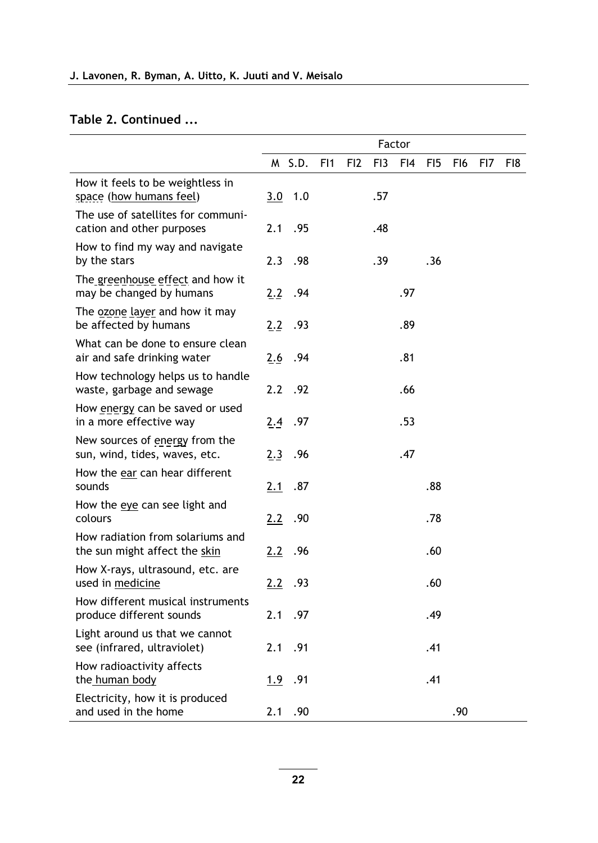$\overline{\phantom{a}}$ 

#### Table 2. Continued ...

|                                                                   |               |         |                 |                 |     | Factor |                 |     |     |     |
|-------------------------------------------------------------------|---------------|---------|-----------------|-----------------|-----|--------|-----------------|-----|-----|-----|
|                                                                   |               | M S.D.  | F <sub>11</sub> | F <sub>12</sub> | FI3 | FI4    | F <sub>15</sub> | FI6 | FI7 | FI8 |
| How it feels to be weightless in<br>space (how humans feel)       | 3.0           | 1.0     |                 |                 | .57 |        |                 |     |     |     |
| The use of satellites for communi-<br>cation and other purposes   | 2.1           | .95     |                 |                 | .48 |        |                 |     |     |     |
| How to find my way and navigate<br>by the stars                   | 2.3           | .98     |                 |                 | .39 |        | .36             |     |     |     |
| The greenhouse effect and how it<br>may be changed by humans      | 2.2           | .94     |                 |                 |     | .97    |                 |     |     |     |
| The ozone layer and how it may<br>be affected by humans           | 2.2           | .93     |                 |                 |     | .89    |                 |     |     |     |
| What can be done to ensure clean<br>air and safe drinking water   | 2.6           | .94     |                 |                 |     | .81    |                 |     |     |     |
| How technology helps us to handle<br>waste, garbage and sewage    | $2.2^{\circ}$ | .92     |                 |                 |     | .66    |                 |     |     |     |
| How energy can be saved or used<br>in a more effective way        |               | 2.4 .97 |                 |                 |     | .53    |                 |     |     |     |
| New sources of energy from the<br>sun, wind, tides, waves, etc.   | 2.3           | .96     |                 |                 |     | .47    |                 |     |     |     |
| How the ear can hear different<br>sounds                          | 2.1           | .87     |                 |                 |     |        | .88             |     |     |     |
| How the eye can see light and<br>colours                          | 2.2           | .90     |                 |                 |     |        | .78             |     |     |     |
| How radiation from solariums and<br>the sun might affect the skin | 2.2           | .96     |                 |                 |     |        | .60             |     |     |     |
| How X-rays, ultrasound, etc. are<br>used in medicine              | 2.2           | .93     |                 |                 |     |        | .60             |     |     |     |
| How different musical instruments<br>produce different sounds     | 2.1           | .97     |                 |                 |     |        | .49             |     |     |     |
| Light around us that we cannot<br>see (infrared, ultraviolet)     | 2.1           | .91     |                 |                 |     |        | .41             |     |     |     |
| How radioactivity affects<br>the human body                       | 1.9           | .91     |                 |                 |     |        | .41             |     |     |     |
| Electricity, how it is produced<br>and used in the home           | 2.1           | .90     |                 |                 |     |        |                 | .90 |     |     |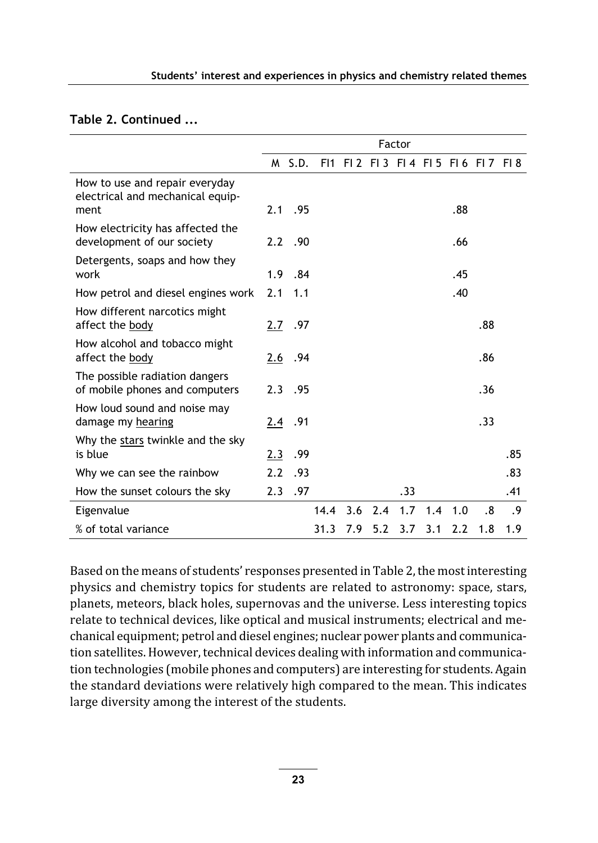#### Table 2. Continued ...

|                                                                            | Factor |           |      |     |     |     |     |     |                             |     |
|----------------------------------------------------------------------------|--------|-----------|------|-----|-----|-----|-----|-----|-----------------------------|-----|
|                                                                            |        | M S.D.    | FI1  |     |     |     |     |     | F12 F13 F14 F15 F16 F17 F18 |     |
| How to use and repair everyday<br>electrical and mechanical equip-<br>ment |        | $2.1$ .95 |      |     |     |     |     | .88 |                             |     |
| How electricity has affected the<br>development of our society             |        | $2.2$ .90 |      |     |     |     |     | .66 |                             |     |
| Detergents, soaps and how they<br>work                                     |        | $1.9$ .84 |      |     |     |     |     | .45 |                             |     |
| How petrol and diesel engines work                                         | 2.1    | 1.1       |      |     |     |     |     | .40 |                             |     |
| How different narcotics might<br>affect the body                           | 2.7    | .97       |      |     |     |     |     |     | .88                         |     |
| How alcohol and tobacco might<br>affect the body                           | 2.6    | .94       |      |     |     |     |     |     | .86                         |     |
| The possible radiation dangers<br>of mobile phones and computers           |        | $2.3$ .95 |      |     |     |     |     |     | .36                         |     |
| How loud sound and noise may<br>damage my hearing                          | 2.4    | .91       |      |     |     |     |     |     | .33                         |     |
| Why the stars twinkle and the sky<br>is blue                               | 2.3    | .99       |      |     |     |     |     |     |                             | .85 |
| Why we can see the rainbow                                                 | 2.2    | .93       |      |     |     |     |     |     |                             | .83 |
| How the sunset colours the sky                                             | 2.3    | .97       |      |     |     | .33 |     |     |                             | .41 |
| Eigenvalue                                                                 |        |           | 14.4 | 3.6 | 2.4 | 1.7 | 1.4 | 1.0 | .8                          | .9  |
| % of total variance                                                        |        |           | 31.3 | 7.9 | 5.2 | 3.7 | 3.1 | 2.2 | 1.8                         | 1.9 |

Based on the means of students' responses presented in Table 2, the most interesting physics and chemistry topics for students are related to astronomy: space, stars, planets, meteors, black holes, supernovas and the universe. Less interesting topics relate to technical devices, like optical and musical instruments; electrical and mechanical equipment; petrol and diesel engines; nuclear power plants and communication satellites. However, technical devices dealing with information and communication technologies (mobile phones and computers) are interesting for students. Again the standard deviations were relatively high compared to the mean. This indicates large diversity among the interest of the students.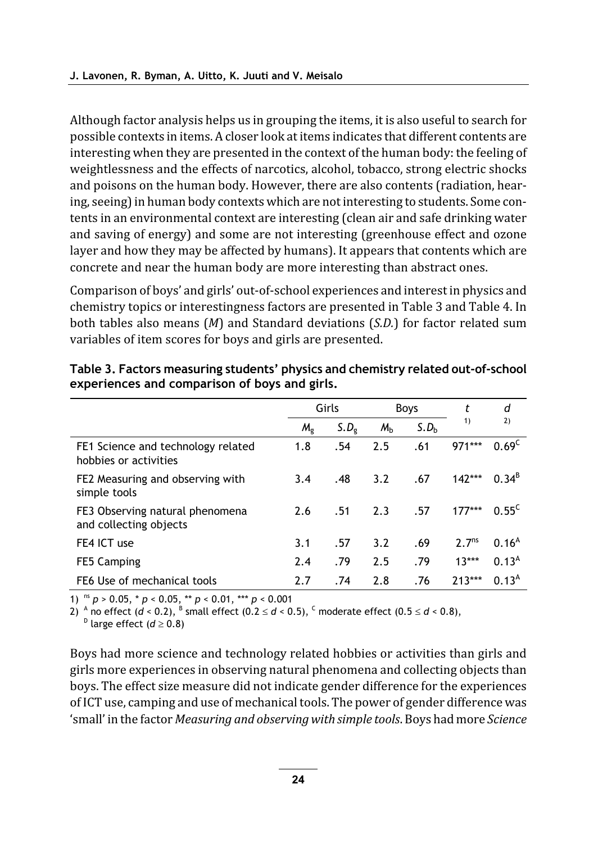Although factor analysis helps us in grouping the items, it is also useful to search for possible contexts in items. A closer look at items indicates that different contents are interesting when they are presented in the context of the human body: the feeling of weightlessness and the effects of narcotics, alcohol, tobacco, strong electric shocks and poisons on the human body. However, there are also contents (radiation, hearing, seeing) in human body contexts which are not interesting to students. Some contents in an environmental context are interesting (clean air and safe drinking water and saving of energy) and some are not interesting (greenhouse effect and ozone layer and how they may be affected by humans). It appears that contents which are concrete and near the human body are more interesting than abstract ones.

Comparison of boys' and girls' out-of-school experiences and interest in physics and chemistry topics or interestingness factors are presented in Table 3 and Table 4. In both tables also means  $(M)$  and Standard deviations  $(S.D.)$  for factor related sum variables of item scores for boys and girls are presented.

|                                                             | Girls       |                  |                | Boys             | t                 | d                 |
|-------------------------------------------------------------|-------------|------------------|----------------|------------------|-------------------|-------------------|
|                                                             | $M_{\circ}$ | S.D <sub>o</sub> | M <sub>b</sub> | S.D <sub>b</sub> | 1)                | 2)                |
| FE1 Science and technology related<br>hobbies or activities | 1.8         | .54              | 2.5            | .61              | 971***            | $0.69^{\circ}$    |
| FE2 Measuring and observing with<br>simple tools            | 3.4         | .48              | 3.2            | .67              | $142***$          | $0.34^{b}$        |
| FE3 Observing natural phenomena<br>and collecting objects   | 2.6         | .51              | 2.3            | .57              | $177***$          | $0.55^{\circ}$    |
| FE4 ICT use                                                 | 3.1         | .57              | 3.2            | .69              | 2.7 <sup>ns</sup> | 0.16 <sup>A</sup> |
| FE5 Camping                                                 | 2.4         | .79              | 2.5            | .79              | $13***$           | 0.13 <sup>A</sup> |
| FE6 Use of mechanical tools                                 | 2.7         | .74              | 2.8            | .76              | $713***$          | 0.13 <sup>A</sup> |

Table 3. Factors measuring students' physics and chemistry related out-of-school experiences and comparison of boys and girls.

1) ns  $p > 0.05$ , \*  $p < 0.05$ , \*\*  $p < 0.01$ , \*\*\*  $p < 0.001$ 

2)  $^{\circ}$  no effect (d < 0.2),  $^{\circ}$  small effect (0.2  $\leq$  d < 0.5),  $^{\circ}$  moderate effect (0.5  $\leq$  d < 0.8),

<sup>D</sup> large effect ( $d \ge 0.8$ )

Boys had more science and technology related hobbies or activities than girls and girls more experiences in observing natural phenomena and collecting objects than boys. The effect size measure did not indicate gender difference for the experiences of ICT use, camping and use of mechanical tools. The power of gender difference was 'small' in the factor Measuring and observing with simple tools. Boys had more Science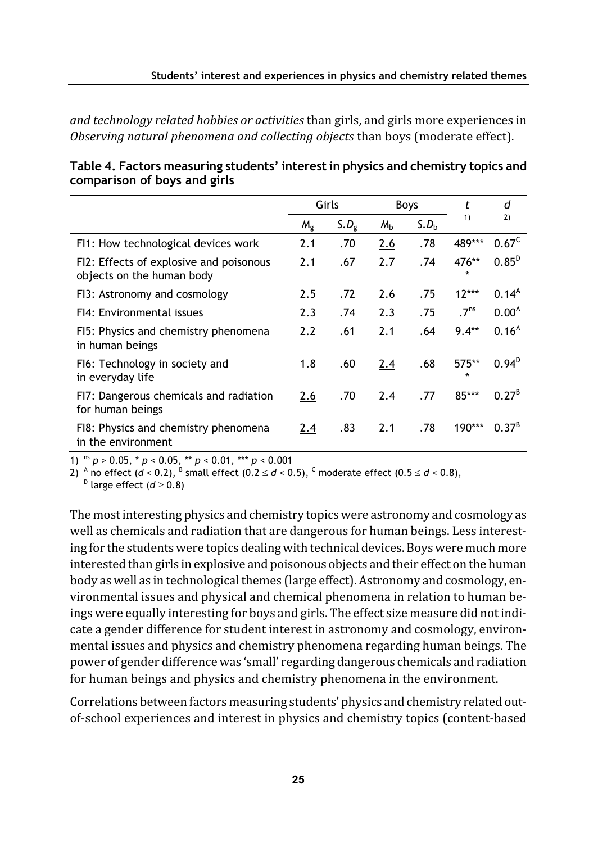and technology related hobbies or activities than girls, and girls more experiences in Observing natural phenomena and collecting objects than boys (moderate effect).

|                                                                      | Girls       |                  |                | Boys             | t                  | d                 |
|----------------------------------------------------------------------|-------------|------------------|----------------|------------------|--------------------|-------------------|
|                                                                      | $M_{\rm g}$ | S.D <sub>9</sub> | M <sub>b</sub> | S.D <sub>b</sub> | 1)                 | 2)                |
| FI1: How technological devices work                                  | 2.1         | .70              | 2.6            | .78              | 489***             | $0.67^{\circ}$    |
| FI2: Effects of explosive and poisonous<br>objects on the human body | 2.1         | .67              | 2.7            | .74              | 476**<br>$\star$   | $0.85^{D}$        |
| FI3: Astronomy and cosmology                                         | 2.5         | .72              | 2.6            | .75              | $12***$            | 0.14 <sup>A</sup> |
| FI4: Environmental issues                                            | 2.3         | .74              | 2.3            | .75              | .7 <sup>ns</sup>   | 0.00 <sup>A</sup> |
| FI5: Physics and chemistry phenomena<br>in human beings              | 2.2         | .61              | 2.1            | .64              | $9.4**$            | 0.16 <sup>A</sup> |
| F16: Technology in society and<br>in everyday life                   | 1.8         | .60              | 2.4            | .68              | $575**$<br>$\star$ | $0.94^{D}$        |
| FI7: Dangerous chemicals and radiation<br>for human beings           | 2.6         | .70              | 2.4            | .77              | 85***              | $0.27^{B}$        |
| F18: Physics and chemistry phenomena<br>in the environment           | 2.4         | .83              | 2.1            | .78              | $190***$           | $0.37^{8}$        |

|                              | Table 4. Factors measuring students' interest in physics and chemistry topics and |
|------------------------------|-----------------------------------------------------------------------------------|
| comparison of boys and girls |                                                                                   |

1) <sup>ns</sup>  $p > 0.05$ ,  $* p < 0.05$ ,  $** p < 0.01$ ,  $*** p < 0.001$ 

2)  $^{\circ}$  no effect (d < 0.2),  $^{\circ}$  small effect (0.2  $\leq$  d < 0.5),  $^{\circ}$  moderate effect (0.5  $\leq$  d < 0.8),

 $D$  large effect ( $d \ge 0.8$ )

The most interesting physics and chemistry topics were astronomy and cosmology as well as chemicals and radiation that are dangerous for human beings. Less interesting for the students were topics dealing with technical devices. Boys were much more interested than girls in explosive and poisonous objects and their effect on the human body as well as in technological themes (large effect). Astronomy and cosmology, environmental issues and physical and chemical phenomena in relation to human beings were equally interesting for boys and girls. The effect size measure did not indicate a gender difference for student interest in astronomy and cosmology, environmental issues and physics and chemistry phenomena regarding human beings. The power of gender difference was 'small' regarding dangerous chemicals and radiation for human beings and physics and chemistry phenomena in the environment.

Correlations between factors measuring students' physics and chemistry related outof-school experiences and interest in physics and chemistry topics (content-based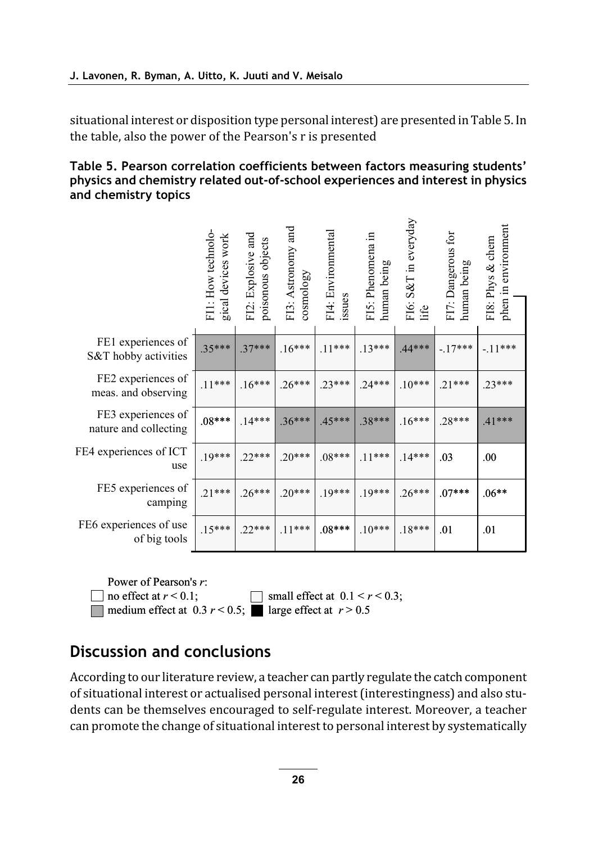situational interest or disposition type personal interest) are presented in Table 5. In the table, also the power of the Pearson's r is presented

#### Table 5. Pearson correlation coefficients between factors measuring students' physics and chemistry related out-of-school experiences and interest in physics and chemistry topics

|                                             | FI1: How technolo-<br>gical devices work | FI2: Explosive and<br>poisonous objects | FI3: Astronomy and<br>cosmology | FI4: Environmental<br>issues | FIS: Phenomena in<br>human being | FI6: S&T in everyday<br>life | FI7: Dangerous for<br>human being | phen in environment<br>FI8: Phys & chem |
|---------------------------------------------|------------------------------------------|-----------------------------------------|---------------------------------|------------------------------|----------------------------------|------------------------------|-----------------------------------|-----------------------------------------|
| FE1 experiences of<br>S&T hobby activities  | $.35***$                                 | $.37***$                                | $.16***$                        | $.11***$                     | $.13***$                         | $.44***$                     | $-.17***$                         | $-11***$                                |
| FE2 experiences of<br>meas. and observing   | $.11***$                                 | $.16***$                                | $.26***$                        | $.23***$                     | $.24***$                         | $.10***$                     | $.21***$                          | $.23***$                                |
| FE3 experiences of<br>nature and collecting | $.08***$                                 | $.14***$                                | $.36***$                        | $.45***$                     | $.38***$                         | $.16***$                     | $.28***$                          | .41***                                  |
| FE4 experiences of ICT<br>use               | $.19***$                                 | $.22***$                                | $.20***$                        | $.08***$                     | $.11***$                         | $.14***$                     | .03                               | .00.                                    |
| FE5 experiences of<br>camping               | $.21***$                                 | $.26***$                                | $.20***$                        | $.19***$                     | $.19***$                         | $.26***$                     | $.07***$                          | $.06**$                                 |
| FE6 experiences of use<br>of big tools      | $.15***$                                 | $.22***$                                | $.11***$                        | $.08***$                     | $.10***$                         | $.18***$                     | .01                               | .01                                     |

Power of Pearson's r:

medium effect at  $0.3 r < 0.5$ ; large effect at  $r > 0.5$ 

 $\Box$  no effect at  $r < 0.1$ ;  $\Box$  small effect at  $0.1 < r < 0.3$ ;

## Discussion and conclusions

According to our literature review, a teacher can partly regulate the catch component of situational interest or actualised personal interest (interestingness) and also students can be themselves encouraged to self-regulate interest. Moreover, a teacher can promote the change of situational interest to personal interest by systematically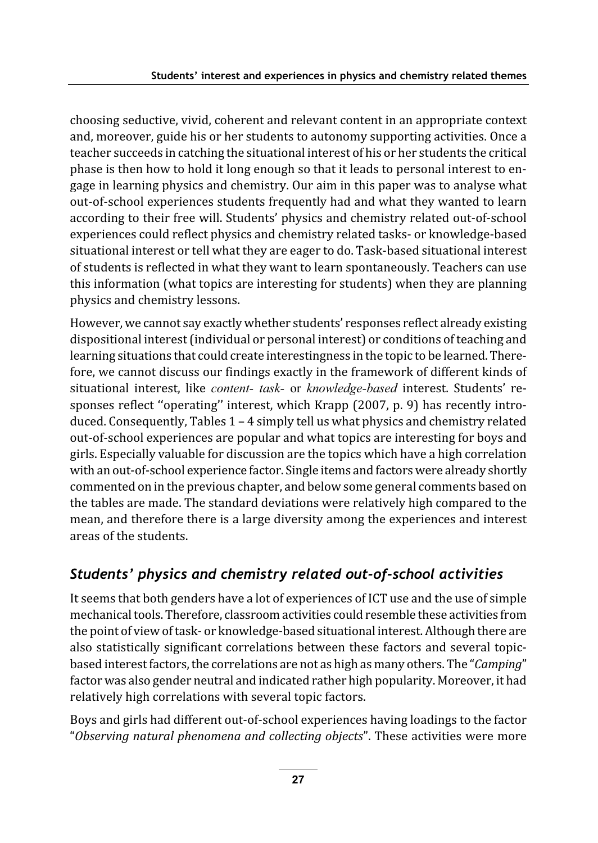choosing seductive, vivid, coherent and relevant content in an appropriate context and, moreover, guide his or her students to autonomy supporting activities. Once a teacher succeeds in catching the situational interest of his or her students the critical phase is then how to hold it long enough so that it leads to personal interest to engage in learning physics and chemistry. Our aim in this paper was to analyse what out-of-school experiences students frequently had and what they wanted to learn according to their free will. Students' physics and chemistry related out-of-school experiences could reflect physics and chemistry related tasks- or knowledge-based situational interest or tell what they are eager to do. Task-based situational interest of students is reflected in what they want to learn spontaneously. Teachers can use this information (what topics are interesting for students) when they are planning physics and chemistry lessons.

However, we cannot say exactly whether students' responses reflect already existing dispositional interest (individual or personal interest) or conditions of teaching and learning situations that could create interestingness in the topic to be learned. Therefore, we cannot discuss our findings exactly in the framework of different kinds of situational interest, like content- task- or knowledge-based interest. Students' responses reflect "operating" interest, which Krapp (2007, p. 9) has recently introduced. Consequently, Tables  $1 - 4$  simply tell us what physics and chemistry related out-of-school experiences are popular and what topics are interesting for boys and girls. Especially valuable for discussion are the topics which have a high correlation with an out-of-school experience factor. Single items and factors were already shortly commented on in the previous chapter, and below some general comments based on the tables are made. The standard deviations were relatively high compared to the mean, and therefore there is a large diversity among the experiences and interest areas of the students.

### Students' physics and chemistry related out-of-school activities

It seems that both genders have a lot of experiences of ICT use and the use of simple mechanical tools. Therefore, classroom activities could resemble these activities from the point of view of task- or knowledge-based situational interest. Although there are also statistically significant correlations between these factors and several topicbased interest factors, the correlations are not as high as many others. The "Camping" factor was also gender neutral and indicated rather high popularity. Moreover, it had relatively high correlations with several topic factors.

Boys and girls had different out-of-school experiences having loadings to the factor "Observing natural phenomena and collecting objects". These activities were more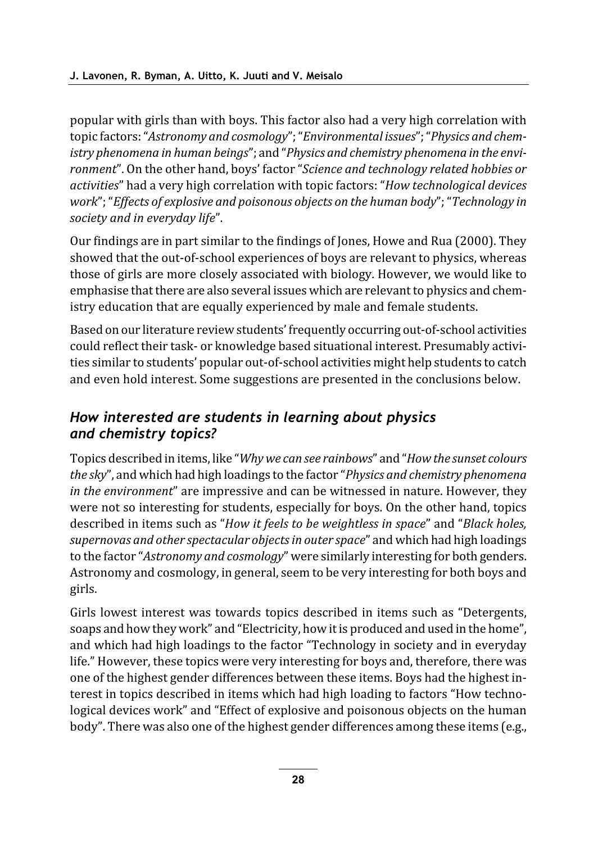popular with girls than with boys. This factor also had a very high correlation with topic factors: "Astronomy and cosmology"; "Environmental issues"; "Physics and chemistry phenomena in human beings"; and "Physics and chemistry phenomena in the environment". On the other hand, boys' factor "Science and technology related hobbies or activities" had a very high correlation with topic factors: "How technological devices work"; "Effects of explosive and poisonous objects on the human body"; "Technology in society and in everyday life".

Our findings are in part similar to the findings of Jones, Howe and Rua (2000). They showed that the out-of-school experiences of boys are relevant to physics, whereas those of girls are more closely associated with biology. However, we would like to emphasise that there are also several issues which are relevant to physics and chemistry education that are equally experienced by male and female students.

Based on our literature review students' frequently occurring out-of-school activities could reflect their task- or knowledge based situational interest. Presumably activities similar to students' popular out-of-school activities might help students to catch and even hold interest. Some suggestions are presented in the conclusions below.

### How interested are students in learning about physics and chemistry topics?

Topics described in items, like "Why we can see rainbows" and "How the sunset colours" the sky", and which had high loadings to the factor "Physics and chemistry phenomena" in the environment" are impressive and can be witnessed in nature. However, they were not so interesting for students, especially for boys. On the other hand, topics described in items such as "How it feels to be weightless in space" and "Black holes, supernovas and other spectacular objects in outer space" and which had high loadings to the factor "Astronomy and cosmology" were similarly interesting for both genders. Astronomy and cosmology, in general, seem to be very interesting for both boys and girls.

Girls lowest interest was towards topics described in items such as "Detergents, soaps and how they work" and "Electricity, how it is produced and used in the home", and which had high loadings to the factor "Technology in society and in everyday life." However, these topics were very interesting for boys and, therefore, there was one of the highest gender differences between these items. Boys had the highest interest in topics described in items which had high loading to factors "How technological devices work" and "Effect of explosive and poisonous objects on the human body". There was also one of the highest gender differences among these items (e.g.,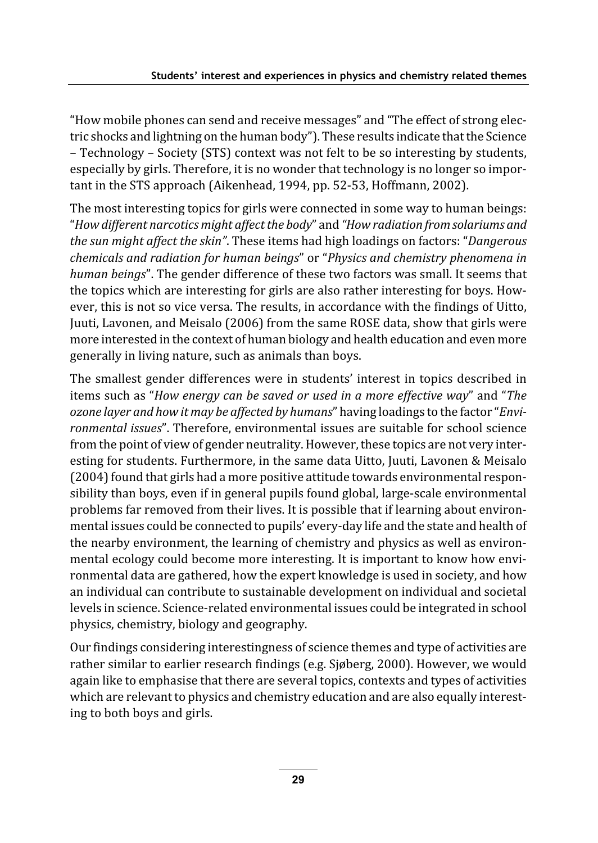"How mobile phones can send and receive messages" and "The effect of strong electric shocks and lightning on the human body"). These results indicate that the Science - Technology - Society (STS) context was not felt to be so interesting by students, especially by girls. Therefore, it is no wonder that technology is no longer so important in the STS approach (Aikenhead, 1994, pp. 52-53, Hoffmann, 2002).

The most interesting topics for girls were connected in some way to human beings: "How different narcotics might affect the body" and "How radiation from solariums and the sun might affect the skin". These items had high loadings on factors: "Dangerous chemicals and radiation for human beings" or "Physics and chemistry phenomena in human beings". The gender difference of these two factors was small. It seems that the topics which are interesting for girls are also rather interesting for boys. However, this is not so vice versa. The results, in accordance with the findings of Uitto, Juuti, Lavonen, and Meisalo (2006) from the same ROSE data, show that girls were more interested in the context of human biology and health education and even more generally in living nature, such as animals than boys.

The smallest gender differences were in students' interest in topics described in items such as "How energy can be saved or used in a more effective way" and "The ozone layer and how it may be affected by humans" having loadings to the factor "Environmental issues". Therefore, environmental issues are suitable for school science from the point of view of gender neutrality. However, these topics are not very interesting for students. Furthermore, in the same data Uitto, Juuti, Lavonen & Meisalo (2004) found that girls had a more positive attitude towards environmental responsibility than boys, even if in general pupils found global, large-scale environmental problems far removed from their lives. It is possible that if learning about environmental issues could be connected to pupils' every-day life and the state and health of the nearby environment, the learning of chemistry and physics as well as environmental ecology could become more interesting. It is important to know how environmental data are gathered, how the expert knowledge is used in society, and how an individual can contribute to sustainable development on individual and societal levels in science. Science-related environmental issues could be integrated in school physics, chemistry, biology and geography.

Our findings considering interestingness of science themes and type of activities are rather similar to earlier research findings (e.g. Sjøberg, 2000). However, we would again like to emphasise that there are several topics, contexts and types of activities which are relevant to physics and chemistry education and are also equally interesting to both boys and girls.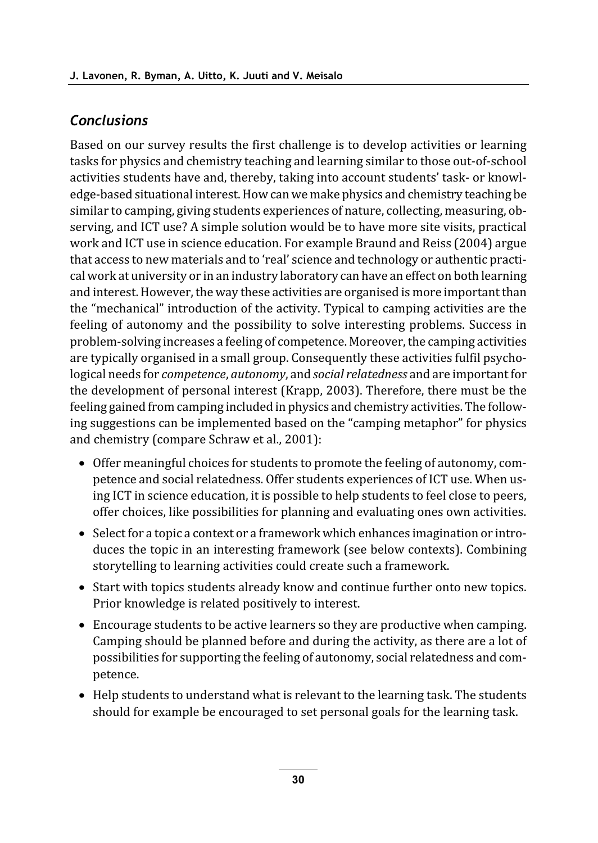### **Conclusions**

Based on our survey results the first challenge is to develop activities or learning tasks for physics and chemistry teaching and learning similar to those out-of-school activities students have and, thereby, taking into account students' task- or knowledge-based situational interest. How can we make physics and chemistry teaching be similar to camping, giving students experiences of nature, collecting, measuring, observing, and ICT use? A simple solution would be to have more site visits, practical work and ICT use in science education. For example Braund and Reiss (2004) argue that access to new materials and to 'real' science and technology or authentic practical work at university or in an industry laboratory can have an effect on both learning and interest. However, the way these activities are organised is more important than the "mechanical" introduction of the activity. Typical to camping activities are the feeling of autonomy and the possibility to solve interesting problems. Success in problem-solving increases a feeling of competence. Moreover, the camping activities are typically organised in a small group. Consequently these activities fulfil psychological needs for *competence*, *autonomy*, and *social relatedness* and are important for the development of personal interest (Krapp, 2003). Therefore, there must be the feeling gained from camping included in physics and chemistry activities. The following suggestions can be implemented based on the "camping metaphor" for physics and chemistry (compare Schraw et al., 2001):

- Offer meaningful choices for students to promote the feeling of autonomy, competence and social relatedness. Offer students experiences of ICT use. When using ICT in science education, it is possible to help students to feel close to peers, offer choices, like possibilities for planning and evaluating ones own activities.
- Select for a topic a context or a framework which enhances imagination or introduces the topic in an interesting framework (see below contexts). Combining storytelling to learning activities could create such a framework.
- Start with topics students already know and continue further onto new topics. Prior knowledge is related positively to interest.
- Encourage students to be active learners so they are productive when camping. Camping should be planned before and during the activity, as there are a lot of possibilities for supporting the feeling of autonomy, social relatedness and competence.
- Help students to understand what is relevant to the learning task. The students should for example be encouraged to set personal goals for the learning task.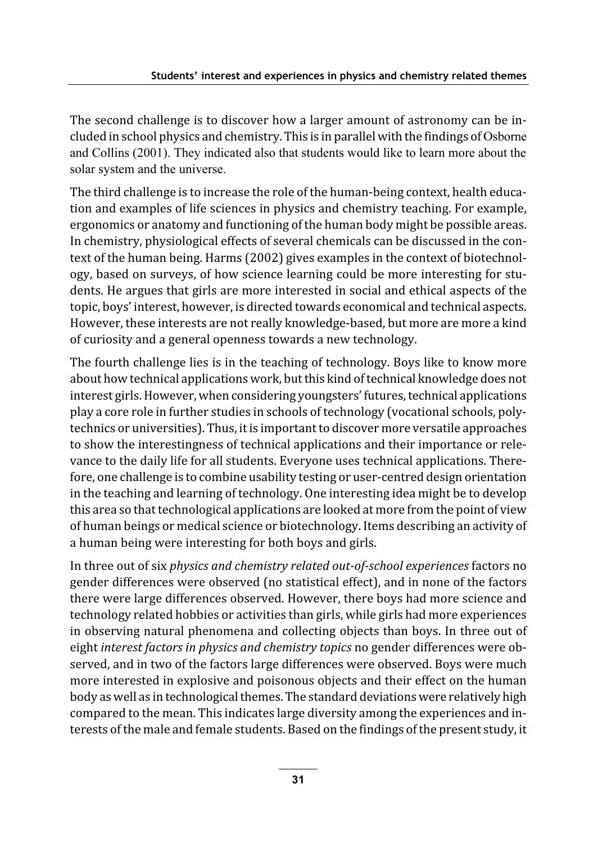The second challenge is to discover how a larger amount of astronomy can be included in school physics and chemistry. This is in parallel with the findings of Osborne and Collins (2001). They indicated also that students would like to learn more about the solar system and the universe.

The third challenge is to increase the role of the human-being context, health education and examples of life sciences in physics and chemistry teaching. For example, ergonomics or anatomy and functioning of the human body might be possible areas. In chemistry, physiological effects of several chemicals can be discussed in the context of the human being. Harms (2002) gives examples in the context of biotechnology, based on surveys, of how science learning could be more interesting for students. He argues that girls are more interested in social and ethical aspects of the topic, boys' interest, however, is directed towards economical and technical aspects. However, these interests are not really knowledge-based, but more are more a kind of curiosity and a general openness towards a new technology.

The fourth challenge lies is in the teaching of technology. Boys like to know more about how technical applications work, but this kind of technical knowledge does not interest girls. However, when considering youngsters' futures, technical applications play a core role in further studies in schools of technology (vocational schools, polytechnics or universities). Thus, it is important to discover more versatile approaches to show the interestingness of technical applications and their importance or relevance to the daily life for all students. Everyone uses technical applications. Therefore, one challenge is to combine usability testing or user-centred design orientation in the teaching and learning of technology. One interesting idea might be to develop this area so that technological applications are looked at more from the point of view of human beings or medical science or biotechnology. Items describing an activity of a human being were interesting for both boys and girls.

In three out of six physics and chemistry related out-of-school experiences factors no gender differences were observed (no statistical effect), and in none of the factors there were large differences observed. However, there boys had more science and technology related hobbies or activities than girls, while girls had more experiences in observing natural phenomena and collecting objects than boys. In three out of eight interest factors in physics and chemistry topics no gender differences were observed, and in two of the factors large differences were observed. Boys were much more interested in explosive and poisonous objects and their effect on the human body as well as in technological themes. The standard deviations were relatively high compared to the mean. This indicates large diversity among the experiences and interests of the male and female students. Based on the findings of the present study, it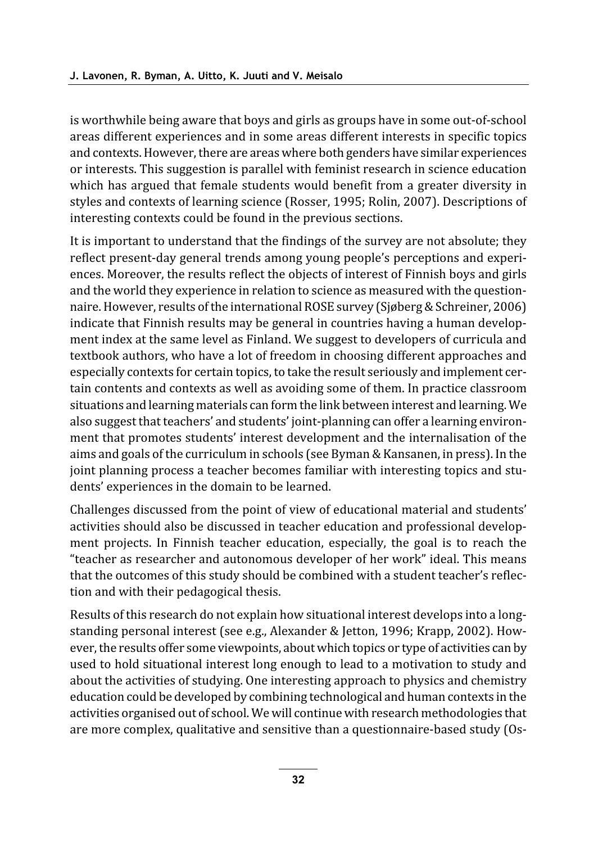is worthwhile being aware that boys and girls as groups have in some out-of-school areas different experiences and in some areas different interests in specific topics and contexts. However, there are areas where both genders have similar experiences or interests. This suggestion is parallel with feminist research in science education which has argued that female students would benefit from a greater diversity in styles and contexts of learning science (Rosser, 1995; Rolin, 2007). Descriptions of interesting contexts could be found in the previous sections.

It is important to understand that the findings of the survey are not absolute; they reflect present-day general trends among young people's perceptions and experiences. Moreover, the results reflect the objects of interest of Finnish boys and girls and the world they experience in relation to science as measured with the questionnaire. However, results of the international ROSE survey (Sjøberg & Schreiner, 2006) indicate that Finnish results may be general in countries having a human development index at the same level as Finland. We suggest to developers of curricula and textbook authors, who have a lot of freedom in choosing different approaches and especially contexts for certain topics, to take the result seriously and implement certain contents and contexts as well as avoiding some of them. In practice classroom situations and learning materials can form the link between interest and learning. We also suggest that teachers' and students' joint-planning can offer a learning environment that promotes students' interest development and the internalisation of the aims and goals of the curriculum in schools (see Byman & Kansanen, in press). In the joint planning process a teacher becomes familiar with interesting topics and students' experiences in the domain to be learned.

Challenges discussed from the point of view of educational material and students' activities should also be discussed in teacher education and professional development projects. In Finnish teacher education, especially, the goal is to reach the "teacher as researcher and autonomous developer of her work" ideal. This means that the outcomes of this study should be combined with a student teacher's reflection and with their pedagogical thesis.

Results of this research do not explain how situational interest develops into a longstanding personal interest (see e.g., Alexander & Jetton, 1996; Krapp, 2002). However, the results offer some viewpoints, about which topics or type of activities can by used to hold situational interest long enough to lead to a motivation to study and about the activities of studying. One interesting approach to physics and chemistry education could be developed by combining technological and human contexts in the activities organised out of school. We will continue with research methodologies that are more complex, qualitative and sensitive than a questionnaire-based study (Os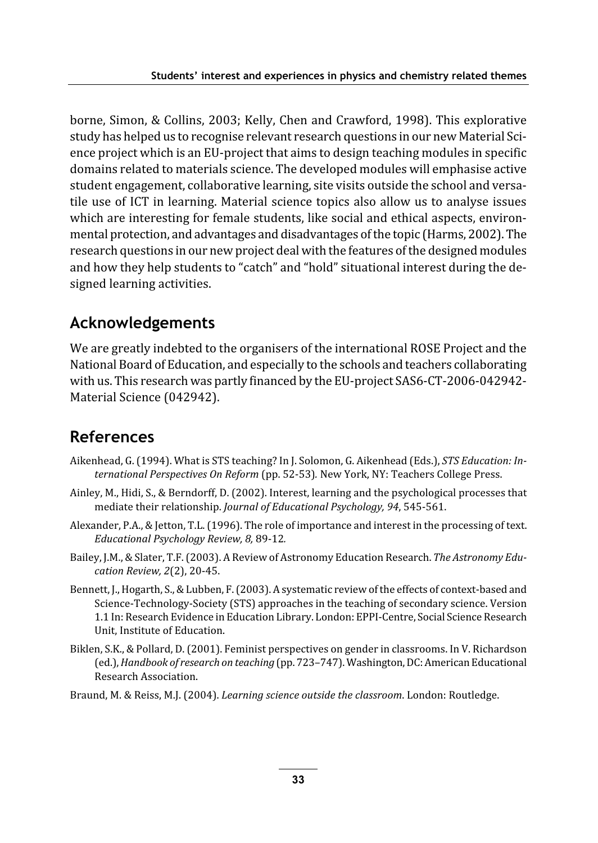borne, Simon, & Collins, 2003; Kelly, Chen and Crawford, 1998). This explorative study has helped us to recognise relevant research questions in our new Material Science project which is an EU-project that aims to design teaching modules in specific domains related to materials science. The developed modules will emphasise active student engagement, collaborative learning, site visits outside the school and versatile use of ICT in learning. Material science topics also allow us to analyse issues which are interesting for female students, like social and ethical aspects, environmental protection, and advantages and disadvantages of the topic (Harms, 2002). The research questions in our new project deal with the features of the designed modules and how they help students to "catch" and "hold" situational interest during the designed learning activities.

### **Acknowledgements**

We are greatly indebted to the organisers of the international ROSE Project and the National Board of Education, and especially to the schools and teachers collaborating with us. This research was partly financed by the EU-project SAS6-CT-2006-042942-Material Science (042942).

### **References**

- Aikenhead, G. (1994). What is STS teaching? In J. Solomon, G. Aikenhead (Eds.), STS Education: International Perspectives On Reform (pp. 52-53). New York, NY: Teachers College Press.
- Ainley, M., Hidi, S., & Berndorff, D. (2002). Interest, learning and the psychological processes that mediate their relationship. Journal of Educational Psychology, 94, 545-561.
- Alexander, P.A., & Jetton, T.L. (1996). The role of importance and interest in the processing of text. Educational Psychology Review, 8, 89-12.
- Bailey, J.M., & Slater, T.F. (2003). A Review of Astronomy Education Research. The Astronomy Education Review, 2(2), 20-45.
- Bennett, J., Hogarth, S., & Lubben, F. (2003). A systematic review of the effects of context-based and Science-Technology-Society (STS) approaches in the teaching of secondary science. Version 1.1 In: Research Evidence in Education Library. London: EPPI-Centre, Social Science Research Unit. Institute of Education.
- Biklen, S.K., & Pollard, D. (2001). Feminist perspectives on gender in classrooms. In V. Richardson (ed.), Handbook of research on teaching (pp. 723-747). Washington, DC: American Educational Research Association.
- Braund, M. & Reiss, M.J. (2004). Learning science outside the classroom. London: Routledge.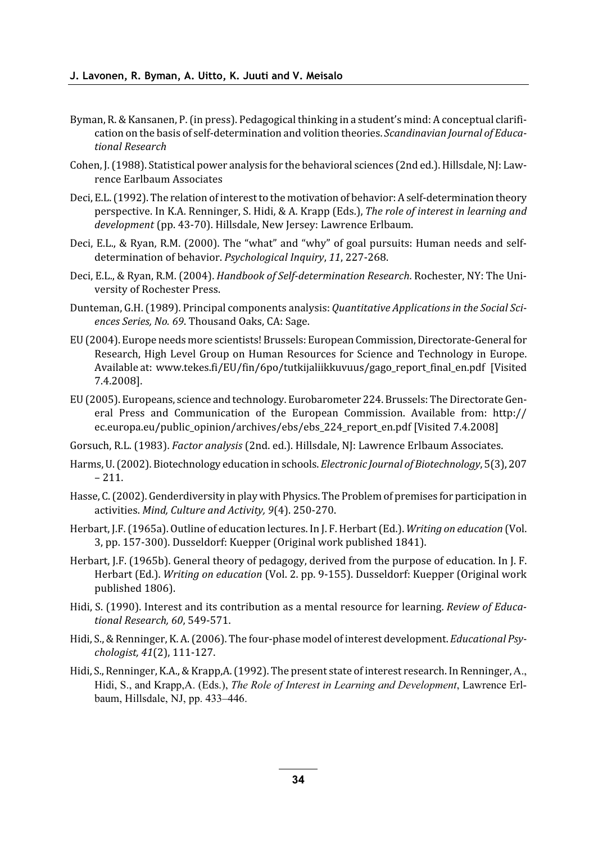- Byman, R. & Kansanen, P. (in press). Pedagogical thinking in a student's mind: A conceptual clarification on the basis of self-determination and volition theories. Scandinavian Journal of Educational Research
- Cohen, J. (1988). Statistical power analysis for the behavioral sciences (2nd ed.). Hillsdale, NJ: Lawrence Earlbaum Associates
- Deci, E.L. (1992). The relation of interest to the motivation of behavior: A self-determination theory perspective. In K.A. Renninger, S. Hidi, & A. Krapp (Eds.), The role of interest in learning and development (pp. 43-70). Hillsdale, New Jersey: Lawrence Erlbaum.
- Deci, E.L., & Ryan, R.M. (2000). The "what" and "why" of goal pursuits: Human needs and selfdetermination of behavior. Psychological Inquiry, 11, 227-268.
- Deci, E.L., & Ryan, R.M. (2004). Handbook of Self-determination Research. Rochester, NY: The University of Rochester Press.
- Dunteman, G.H. (1989). Principal components analysis: Quantitative Applications in the Social Sciences Series, No. 69. Thousand Oaks, CA: Sage.
- EU (2004). Europe needs more scientists! Brussels: European Commission, Directorate-General for Research, High Level Group on Human Resources for Science and Technology in Europe. Available at: www.tekes.fi/EU/fin/6po/tutkijaliikkuvuus/gago\_report\_final\_en.pdf [Visited 7.4.2008].
- EU (2005). Europeans, science and technology. Eurobarometer 224. Brussels: The Directorate General Press and Communication of the European Commission. Available from: http:// ec.europa.eu/public opinion/archives/ebs/ebs 224 report en.pdf [Visited 7.4.2008]
- Gorsuch, R.L. (1983). Factor analysis (2nd. ed.). Hillsdale, NJ: Lawrence Erlbaum Associates.
- Harms, U. (2002). Biotechnology education in schools. Electronic Journal of Biotechnology, 5(3), 207  $-211.$
- Hasse, C. (2002). Genderdiversity in play with Physics. The Problem of premises for participation in activities. Mind, Culture and Activity, 9(4). 250-270.
- Herbart, J.F. (1965a). Outline of education lectures. In J. F. Herbart (Ed.). Writing on education (Vol. 3, pp. 157-300). Dusseldorf: Kuepper (Original work published 1841).
- Herbart, J.F. (1965b). General theory of pedagogy, derived from the purpose of education. In J. F. Herbart (Ed.). Writing on education (Vol. 2. pp. 9-155). Dusseldorf: Kuepper (Original work published 1806).
- Hidi, S. (1990). Interest and its contribution as a mental resource for learning. Review of Educational Research, 60, 549-571.
- Hidi, S., & Renninger, K. A. (2006). The four-phase model of interest development. Educational Psychologist, 41(2), 111-127.
- Hidi, S., Renninger, K.A., & Krapp, A. (1992). The present state of interest research. In Renninger, A., Hidi, S., and Krapp, A. (Eds.), The Role of Interest in Learning and Development, Lawrence Erlbaum, Hillsdale, NJ, pp. 433-446.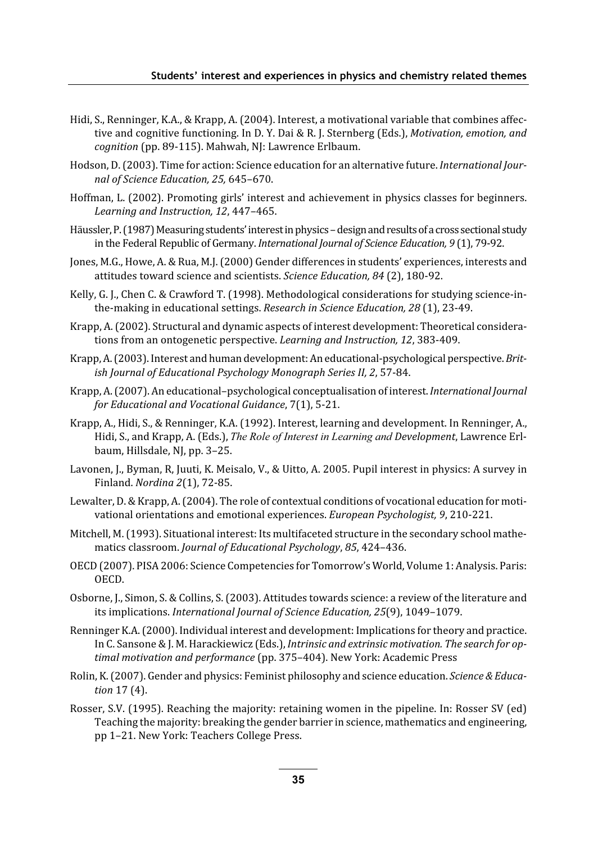- Hidi, S., Renninger, K.A., & Krapp, A. (2004). Interest, a motivational variable that combines affective and cognitive functioning. In D.Y. Dai & R.J. Sternberg (Eds.), Motivation, emotion, and cognition (pp. 89-115). Mahwah, NJ: Lawrence Erlbaum.
- Hodson, D. (2003). Time for action: Science education for an alternative future. International Journal of Science Education, 25, 645-670.
- Hoffman, L. (2002). Promoting girls' interest and achievement in physics classes for beginners. Learning and Instruction, 12, 447-465.
- Häussler, P. (1987) Measuring students' interest in physics design and results of a cross sectional study in the Federal Republic of Germany. International Journal of Science Education, 9(1), 79-92.
- Jones, M.G., Howe, A. & Rua, M.J. (2000) Gender differences in students' experiences, interests and attitudes toward science and scientists. Science Education, 84 (2), 180-92.
- Kelly, G. J., Chen C. & Crawford T. (1998). Methodological considerations for studying science-inthe-making in educational settings. Research in Science Education, 28 (1), 23-49.
- Krapp, A. (2002). Structural and dynamic aspects of interest development: Theoretical considerations from an ontogenetic perspective. Learning and Instruction, 12, 383-409.
- Krapp, A. (2003). Interest and human development: An educational-psychological perspective. British Journal of Educational Psychology Monograph Series II, 2, 57-84.
- Krapp, A. (2007). An educational-psychological conceptualisation of interest. International Journal for Educational and Vocational Guidance, 7(1), 5-21.
- Krapp, A., Hidi, S., & Renninger, K.A. (1992). Interest, learning and development. In Renninger, A., Hidi, S., and Krapp, A. (Eds.), The Role of Interest in Learning and Development, Lawrence Erlbaum, Hillsdale, NJ, pp. 3-25.
- Lavonen, J., Byman, R. Juuti, K. Meisalo, V., & Uitto, A. 2005. Pupil interest in physics: A survey in Finland. Nordina 2(1), 72-85.
- Lewalter, D. & Krapp, A. (2004). The role of contextual conditions of vocational education for motivational orientations and emotional experiences. European Psychologist, 9, 210-221.
- Mitchell, M. (1993). Situational interest: Its multifaceted structure in the secondary school mathematics classroom. Journal of Educational Psychology, 85, 424-436.
- OECD (2007). PISA 2006: Science Competencies for Tomorrow's World, Volume 1: Analysis. Paris: **OECD**
- Osborne, J., Simon, S. & Collins, S. (2003). Attitudes towards science: a review of the literature and its implications. International Journal of Science Education, 25(9), 1049-1079.
- Renninger K.A. (2000). Individual interest and development: Implications for theory and practice. In C. Sansone & J. M. Harackiewicz (Eds.), Intrinsic and extrinsic motivation. The search for optimal motivation and performance (pp. 375-404). New York: Academic Press
- Rolin, K. (2007). Gender and physics: Feminist philosophy and science education. Science & Education 17 (4).
- Rosser, S.V. (1995). Reaching the majority: retaining women in the pipeline. In: Rosser SV (ed) Teaching the majority: breaking the gender barrier in science, mathematics and engineering, pp 1-21. New York: Teachers College Press.